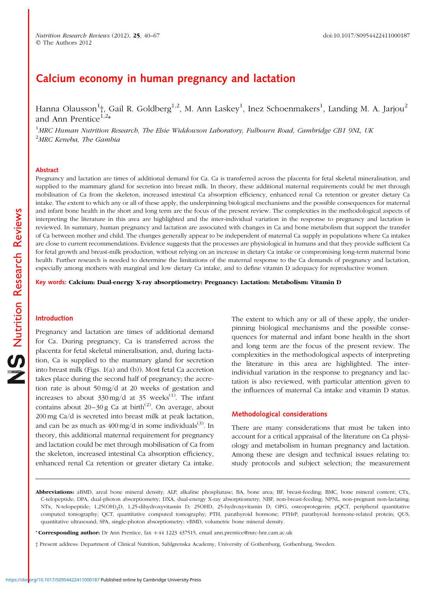# Calcium economy in human pregnancy and lactation

Hanna Olausson $^1$ †, Gail R. Goldberg $^{1,2}$ , M. Ann Laskey $^1$ , Inez Schoenmakers $^1$ , Landing M. A. Jarjou $^2$ and Ann Prentice $^{1,2*}$ 

<sup>1</sup>MRC Human Nutrition Research, The Elsie Widdowson Laboratory, Fulbourn Road, Cambridge CB1 9NL, UK  $^{2}$ MRC Keneba, The Gambia

#### Abstract

Pregnancy and lactation are times of additional demand for Ca. Ca is transferred across the placenta for fetal skeletal mineralisation, and supplied to the mammary gland for secretion into breast milk. In theory, these additional maternal requirements could be met through mobilisation of Ca from the skeleton, increased intestinal Ca absorption efficiency, enhanced renal Ca retention or greater dietary Ca intake. The extent to which any or all of these apply, the underpinning biological mechanisms and the possible consequences for maternal and infant bone health in the short and long term are the focus of the present review. The complexities in the methodological aspects of interpreting the literature in this area are highlighted and the inter-individual variation in the response to pregnancy and lactation is reviewed. In summary, human pregnancy and lactation are associated with changes in Ca and bone metabolism that support the transfer of Ca between mother and child. The changes generally appear to be independent of maternal Ca supply in populations where Ca intakes are close to current recommendations. Evidence suggests that the processes are physiological in humans and that they provide sufficient Ca for fetal growth and breast-milk production, without relying on an increase in dietary Ca intake or compromising long-term maternal bone health. Further research is needed to determine the limitations of the maternal response to the Ca demands of pregnancy and lactation, especially among mothers with marginal and low dietary Ca intake, and to define vitamin D adequacy for reproductive women.

Key words: Calcium: Dual-energy X-ray absorptiometry: Pregnancy: Lactation: Metabolism: Vitamin D

### Introduction

Pregnancy and lactation are times of additional demand for Ca. During pregnancy, Ca is transferred across the placenta for fetal skeletal mineralisation, and, during lactation, Ca is supplied to the mammary gland for secretion into breast milk ([Figs. 1\(a\) and \(b\)\)](#page-4-0). Most fetal Ca accretion takes place during the second half of pregnancy; the accretion rate is about 50 mg/d at 20 weeks of gestation and increases to about  $330 \text{ mg/d}$  at  $35 \text{ weeks}^{(1)}$ . The infant contains about  $20-30$  g Ca at birth<sup>(2)</sup>. On average, about 200 mg Ca/d is secreted into breast milk at peak lactation, and can be as much as  $400 \,\text{mg/d}$  in some individuals<sup>(3)</sup>. In theory, this additional maternal requirement for pregnancy and lactation could be met through mobilisation of Ca from the skeleton, increased intestinal Ca absorption efficiency, enhanced renal Ca retention or greater dietary Ca intake.

The extent to which any or all of these apply, the underpinning biological mechanisms and the possible consequences for maternal and infant bone health in the short and long term are the focus of the present review. The complexities in the methodological aspects of interpreting the literature in this area are highlighted. The interindividual variation in the response to pregnancy and lactation is also reviewed, with particular attention given to the influences of maternal Ca intake and vitamin D status.

#### Methodological considerations

There are many considerations that must be taken into account for a critical appraisal of the literature on Ca physiology and metabolism in human pregnancy and lactation. Among these are design and technical issues relating to: study protocols and subject selection; the measurement

Abbreviations: aBMD, areal bone mineral density; ALP, alkaline phosphatase; BA, bone area; BF, breast-feeding; BMC, bone mineral content; CTx, C-telopeptide; DPA, dual-photon absorptiometry; DXA, dual-energy X-ray absorptiometry; NBF, non-breast-feeding; NPNL, non-pregnant non-lactating; NTx, N-telopeptide; 1,25(OH)2D, 1,25-dihydroxyvitamin D; 25OHD, 25-hydroxyvitamin D; OPG, osteoprotegerin; pQCT, peripheral quantitative computed tomography; QCT, quantitative computed tomography; PTH, parathyroid hormone; PTHrP, parathyroid hormone-related protein; QUS, quantitative ultrasound; SPA, single-photon absorptiometry; vBMD, volumetric bone mineral density.

<sup>\*</sup> **Corresponding author:** Dr Ann Prentice, fax +44 1223 437515, email ann.prentice@mrc-hnr.cam.ac.uk

<sup>†</sup> Present address: Department of Clinical Nutrition, Sahlgrenska Academy, University of Gothenburg, Gothenburg, Sweden.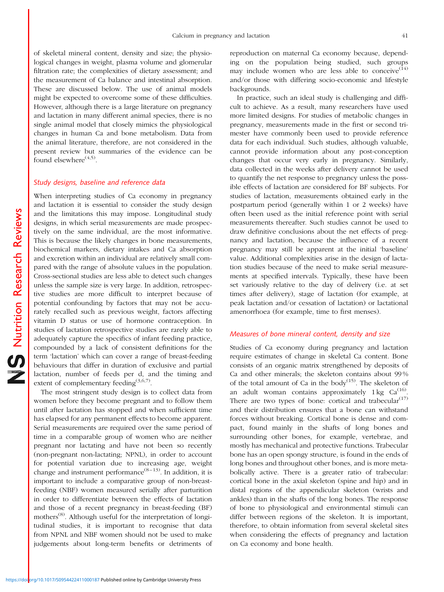of skeletal mineral content, density and size; the physiological changes in weight, plasma volume and glomerular filtration rate; the complexities of dietary assessment; and the measurement of Ca balance and intestinal absorption. These are discussed below. The use of animal models might be expected to overcome some of these difficulties. However, although there is a large literature on pregnancy and lactation in many different animal species, there is no single animal model that closely mimics the physiological changes in human Ca and bone metabolism. Data from the animal literature, therefore, are not considered in the present review but summaries of the evidence can be found elsewhere $^{(4,5)}$ .

#### Study designs, baseline and reference data

When interpreting studies of Ca economy in pregnancy and lactation it is essential to consider the study design and the limitations this may impose. Longitudinal study designs, in which serial measurements are made prospectively on the same individual, are the most informative. This is because the likely changes in bone measurements, biochemical markers, dietary intakes and Ca absorption and excretion within an individual are relatively small compared with the range of absolute values in the population. Cross-sectional studies are less able to detect such changes unless the sample size is very large. In addition, retrospective studies are more difficult to interpret because of potential confounding by factors that may not be accurately recalled such as previous weight, factors affecting vitamin D status or use of hormone contraception. In studies of lactation retrospective studies are rarely able to adequately capture the specifics of infant feeding practice, compounded by a lack of consistent definitions for the term 'lactation' which can cover a range of breast-feeding behaviours that differ in duration of exclusive and partial lactation, number of feeds per d, and the timing and extent of complementary feeding  $(3,6,7)$ .

The most stringent study design is to collect data from women before they become pregnant and to follow them until after lactation has stopped and when sufficient time has elapsed for any permanent effects to become apparent. Serial measurements are required over the same period of time in a comparable group of women who are neither pregnant nor lactating and have not been so recently (non-pregnant non-lactating; NPNL), in order to account for potential variation due to increasing age, weight change and instrument performance<sup> $(8-13)$ </sup>. In addition, it is important to include a comparative group of non-breastfeeding (NBF) women measured serially after parturition in order to differentiate between the effects of lactation and those of a recent pregnancy in breast-feeding (BF) mothers(8). Although useful for the interpretation of longitudinal studies, it is important to recognise that data from NPNL and NBF women should not be used to make judgements about long-term benefits or detriments of

reproduction on maternal Ca economy because, depending on the population being studied, such groups may include women who are less able to conceive<sup> $(14)$ </sup> and/or those with differing socio-economic and lifestyle backgrounds.

In practice, such an ideal study is challenging and difficult to achieve. As a result, many researchers have used more limited designs. For studies of metabolic changes in pregnancy, measurements made in the first or second trimester have commonly been used to provide reference data for each individual. Such studies, although valuable, cannot provide information about any post-conception changes that occur very early in pregnancy. Similarly, data collected in the weeks after delivery cannot be used to quantify the net response to pregnancy unless the possible effects of lactation are considered for BF subjects. For studies of lactation, measurements obtained early in the postpartum period (generally within 1 or 2 weeks) have often been used as the initial reference point with serial measurements thereafter. Such studies cannot be used to draw definitive conclusions about the net effects of pregnancy and lactation, because the influence of a recent pregnancy may still be apparent at the initial 'baseline' value. Additional complexities arise in the design of lactation studies because of the need to make serial measurements at specified intervals. Typically, these have been set variously relative to the day of delivery (i.e. at set times after delivery), stage of lactation (for example, at peak lactation and/or cessation of lactation) or lactational amenorrhoea (for example, time to first menses).

### Measures of bone mineral content, density and size

Studies of Ca economy during pregnancy and lactation require estimates of change in skeletal Ca content. Bone consists of an organic matrix strengthened by deposits of Ca and other minerals; the skeleton contains about 99 % of the total amount of Ca in the body<sup> $(15)$ </sup>. The skeleton of an adult woman contains approximately  $1 \text{ kg } Ca^{(16)}$ . There are two types of bone: cortical and trabecular $(17)$ and their distribution ensures that a bone can withstand forces without breaking. Cortical bone is dense and compact, found mainly in the shafts of long bones and surrounding other bones, for example, vertebrae, and mostly has mechanical and protective functions. Trabecular bone has an open spongy structure, is found in the ends of long bones and throughout other bones, and is more metabolically active. There is a greater ratio of trabecular: cortical bone in the axial skeleton (spine and hip) and in distal regions of the appendicular skeleton (wrists and ankles) than in the shafts of the long bones. The response of bone to physiological and environmental stimuli can differ between regions of the skeleton. It is important, therefore, to obtain information from several skeletal sites when considering the effects of pregnancy and lactation on Ca economy and bone health.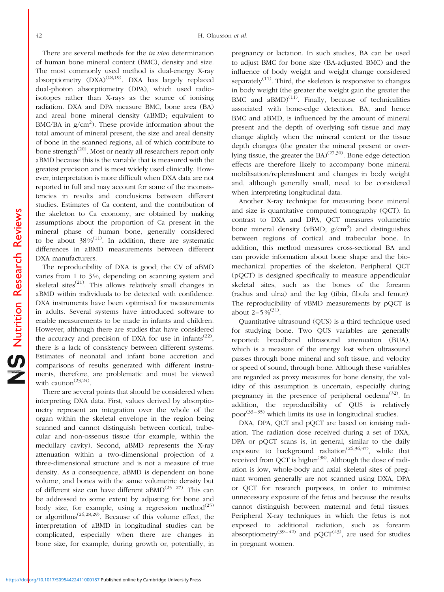Nutrition Research Reviews

NS Nutrition Research Reviews

There are several methods for the *in vivo* determination of human bone mineral content (BMC), density and size. The most commonly used method is dual-energy X-ray absorptiometry  $(DXA)^{(18,19)}$ . DXA has largely replaced dual-photon absorptiometry (DPA), which used radioisotopes rather than X-rays as the source of ionising radiation. DXA and DPA measure BMC, bone area (BA) and areal bone mineral density (aBMD; equivalent to BMC/BA in  $g/cm<sup>2</sup>$ ). These provide information about the total amount of mineral present, the size and areal density of bone in the scanned regions, all of which contribute to bone strength<sup>(20)</sup>. Most or nearly all researchers report only aBMD because this is the variable that is measured with the greatest precision and is most widely used clinically. However, interpretation is more difficult when DXA data are not reported in full and may account for some of the inconsistencies in results and conclusions between different studies. Estimates of Ca content, and the contribution of the skeleton to Ca economy, are obtained by making assumptions about the proportion of Ca present in the mineral phase of human bone, generally considered to be about  $38\%^{(11)}$ . In addition, there are systematic differences in aBMD measurements between different DXA manufacturers.

The reproducibility of DXA is good; the CV of aBMD varies from 1 to 3 %, depending on scanning system and skeletal sites<sup> $(21)$ </sup>. This allows relatively small changes in aBMD within individuals to be detected with confidence. DXA instruments have been optimised for measurements in adults. Several systems have introduced software to enable measurements to be made in infants and children. However, although there are studies that have considered the accuracy and precision of DXA for use in infants<sup>(22)</sup>, there is a lack of consistency between different systems. Estimates of neonatal and infant bone accretion and comparisons of results generated with different instruments, therefore, are problematic and must be viewed with caution<sup> $(23,24)$ </sup>

There are several points that should be considered when interpreting DXA data. First, values derived by absorptiometry represent an integration over the whole of the organ within the skeletal envelope in the region being scanned and cannot distinguish between cortical, trabecular and non-osseous tissue (for example, within the medullary cavity). Second, aBMD represents the X-ray attenuation within a two-dimensional projection of a three-dimensional structure and is not a measure of true density. As a consequence, aBMD is dependent on bone volume, and bones with the same volumetric density but of different size can have different aBMD<sup>(25–27)</sup>. This can be addressed to some extent by adjusting for bone and body size, for example, using a regression method<sup> $(25)$ </sup> or algorithms<sup> $(26,28,29)$ </sup>. Because of this volume effect, the interpretation of aBMD in longitudinal studies can be complicated, especially when there are changes in bone size, for example, during growth or, potentially, in

pregnancy or lactation. In such studies, BA can be used to adjust BMC for bone size (BA-adjusted BMC) and the influence of body weight and weight change considered separately<sup> $(11)$ </sup>. Third, the skeleton is responsive to changes in body weight (the greater the weight gain the greater the BMC and  $aBMD$ <sup>(11)</sup>. Finally, because of technicalities associated with bone-edge detection, BA, and hence BMC and aBMD, is influenced by the amount of mineral present and the depth of overlying soft tissue and may change slightly when the mineral content or the tissue depth changes (the greater the mineral present or overlying tissue, the greater the  $BA$ <sup> $(27,30)$ </sup>. Bone edge detection effects are therefore likely to accompany bone mineral mobilisation/replenishment and changes in body weight and, although generally small, need to be considered when interpreting longitudinal data.

Another X-ray technique for measuring bone mineral and size is quantitative computed tomography (QCT). In contrast to DXA and DPA, QCT measures volumetric bone mineral density (vBMD;  $g/cm<sup>3</sup>$ ) and distinguishes between regions of cortical and trabecular bone. In addition, this method measures cross-sectional BA and can provide information about bone shape and the biomechanical properties of the skeleton. Peripheral QCT (pQCT) is designed specifically to measure appendicular skeletal sites, such as the bones of the forearm (radius and ulna) and the leg (tibia, fibula and femur). The reproducibility of vBMD measurements by pQCT is about  $2-5\%^{(31)}$ .

Quantitative ultrasound (QUS) is a third technique used for studying bone. Two QUS variables are generally reported: broadband ultrasound attenuation (BUA), which is a measure of the energy lost when ultrasound passes through bone mineral and soft tissue, and velocity or speed of sound, through bone. Although these variables are regarded as proxy measures for bone density, the validity of this assumption is uncertain, especially during pregnancy in the presence of peripheral oedema<sup>(32)</sup>. In addition, the reproducibility of QUS is relatively  $poor^{(33-35)}$  which limits its use in longitudinal studies.

DXA, DPA, QCT and pQCT are based on ionising radiation. The radiation dose received during a set of DXA, DPA or pQCT scans is, in general, similar to the daily exposure to background radiation<sup> $(26,36,37)$ </sup>, while that received from QCT is higher<sup>(38)</sup>. Although the dose of radiation is low, whole-body and axial skeletal sites of pregnant women generally are not scanned using DXA, DPA or QCT for research purposes, in order to minimise unnecessary exposure of the fetus and because the results cannot distinguish between maternal and fetal tissues. Peripheral X-ray techniques in which the fetus is not exposed to additional radiation, such as forearm absorptiometry<sup>(39–42)</sup> and pOCT<sup>(43)</sup>, are used for studies in pregnant women.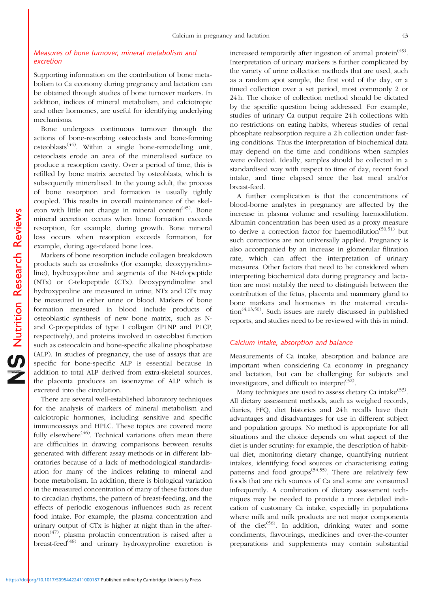#### Measures of bone turnover, mineral metabolism and excretion

Supporting information on the contribution of bone metabolism to Ca economy during pregnancy and lactation can be obtained through studies of bone turnover markers. In addition, indices of mineral metabolism, and calciotropic and other hormones, are useful for identifying underlying mechanisms.

Bone undergoes continuous turnover through the actions of bone-resorbing osteoclasts and bone-forming  $osteoblasts<sup>(44)</sup>$ . Within a single bone-remodelling unit, osteoclasts erode an area of the mineralised surface to produce a resorption cavity. Over a period of time, this is refilled by bone matrix secreted by osteoblasts, which is subsequently mineralised. In the young adult, the process of bone resorption and formation is usually tightly coupled. This results in overall maintenance of the skeleton with little net change in mineral content<sup>(45)</sup>. Bone mineral accretion occurs when bone formation exceeds resorption, for example, during growth. Bone mineral loss occurs when resorption exceeds formation, for example, during age-related bone loss.

Markers of bone resorption include collagen breakdown products such as crosslinks (for example, deoxypyridinoline), hydroxyproline and segments of the N-telopeptide (NTx) or C-telopeptide (CTx). Deoxypyridinoline and hydroxyproline are measured in urine; NTx and CTx may be measured in either urine or blood. Markers of bone formation measured in blood include products of osteoblastic synthesis of new bone matrix, such as Nand C-propeptides of type I collagen (P1NP and P1CP, respectively), and proteins involved in osteoblast function such as osteocalcin and bone-specific alkaline phosphatase (ALP). In studies of pregnancy, the use of assays that are specific for bone-specific ALP is essential because in addition to total ALP derived from extra-skeletal sources, the placenta produces an isoenzyme of ALP which is excreted into the circulation.

There are several well-established laboratory techniques for the analysis of markers of mineral metabolism and calciotropic hormones, including sensitive and specific immunoassays and HPLC. These topics are covered more fully elsewhere<sup>(46)</sup>. Technical variations often mean there are difficulties in drawing comparisons between results generated with different assay methods or in different laboratories because of a lack of methodological standardisation for many of the indices relating to mineral and bone metabolism. In addition, there is biological variation in the measured concentration of many of these factors due to circadian rhythms, the pattern of breast-feeding, and the effects of periodic exogenous influences such as recent food intake. For example, the plasma concentration and urinary output of CTx is higher at night than in the after $n$ oon<sup> $(47)$ </sup>, plasma prolactin concentration is raised after a breast-feed<sup> $(48)$ </sup> and urinary hydroxyproline excretion is

increased temporarily after ingestion of animal protein $(49)$ . Interpretation of urinary markers is further complicated by the variety of urine collection methods that are used, such as a random spot sample, the first void of the day, or a timed collection over a set period, most commonly 2 or 24 h. The choice of collection method should be dictated by the specific question being addressed. For example, studies of urinary Ca output require 24 h collections with no restrictions on eating habits, whereas studies of renal phosphate reabsorption require a 2 h collection under fasting conditions. Thus the interpretation of biochemical data may depend on the time and conditions when samples were collected. Ideally, samples should be collected in a standardised way with respect to time of day, recent food intake, and time elapsed since the last meal and/or breast-feed.

A further complication is that the concentrations of blood-borne analytes in pregnancy are affected by the increase in plasma volume and resulting haemodilution. Albumin concentration has been used as a proxy measure to derive a correction factor for haemodilution<sup> $(50,51)$ </sup> but such corrections are not universally applied. Pregnancy is also accompanied by an increase in glomerular filtration rate, which can affect the interpretation of urinary measures. Other factors that need to be considered when interpreting biochemical data during pregnancy and lactation are most notably the need to distinguish between the contribution of the fetus, placenta and mammary gland to bone markers and hormones in the maternal circula- $\text{tion}^{(4,13,50)}$ . Such issues are rarely discussed in published reports, and studies need to be reviewed with this in mind.

#### Calcium intake, absorption and balance

Measurements of Ca intake, absorption and balance are important when considering Ca economy in pregnancy and lactation, but can be challenging for subjects and investigators, and difficult to interpret<sup> $(52)$ </sup>.

Many techniques are used to assess dietary Ca intake<sup> $(53)$ </sup>. All dietary assessment methods, such as weighed records, diaries, FFQ, diet histories and 24 h recalls have their advantages and disadvantages for use in different subject and population groups. No method is appropriate for all situations and the choice depends on what aspect of the diet is under scrutiny: for example, the description of habitual diet, monitoring dietary change, quantifying nutrient intakes, identifying food sources or characterising eating patterns and food groups<sup> $(54,55)$ </sup>. There are relatively few foods that are rich sources of Ca and some are consumed infrequently. A combination of dietary assessment techniques may be needed to provide a more detailed indication of customary Ca intake, especially in populations where milk and milk products are not major components of the diet<sup> $(56)$ </sup>. In addition, drinking water and some condiments, flavourings, medicines and over-the-counter preparations and supplements may contain substantial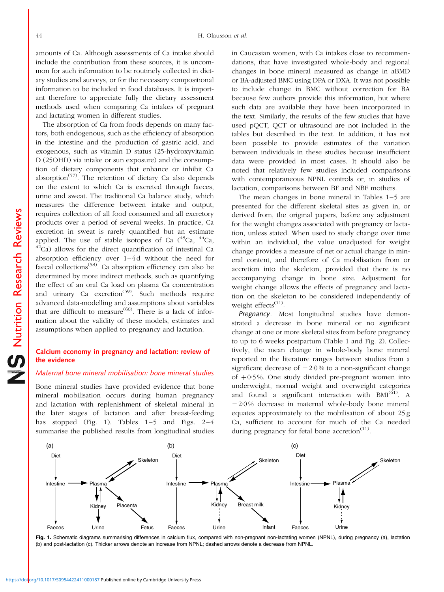<span id="page-4-0"></span>amounts of Ca. Although assessments of Ca intake should include the contribution from these sources, it is uncommon for such information to be routinely collected in dietary studies and surveys, or for the necessary compositional information to be included in food databases. It is important therefore to appreciate fully the dietary assessment methods used when comparing Ca intakes of pregnant and lactating women in different studies.

The absorption of Ca from foods depends on many factors, both endogenous, such as the efficiency of absorption in the intestine and the production of gastric acid, and exogenous, such as vitamin D status (25-hydroxyvitamin D (25OHD) via intake or sun exposure) and the consumption of dietary components that enhance or inhibit Ca absorption<sup> $(57)$ </sup>. The retention of dietary Ca also depends on the extent to which Ca is excreted through faeces, urine and sweat. The traditional Ca balance study, which measures the difference between intake and output, requires collection of all food consumed and all excretory products over a period of several weeks. In practice, Ca excretion in sweat is rarely quantified but an estimate applied. The use of stable isotopes of Ca  $(^{48}Ca, ^{44}Ca,$  $42$ Ca) allows for the direct quantification of intestinal Ca absorption efficiency over 1–4 d without the need for faecal collections<sup>(58)</sup>. Ca absorption efficiency can also be determined by more indirect methods, such as quantifying the effect of an oral Ca load on plasma Ca concentration and urinary Ca excretion<sup>(59)</sup>. Such methods require advanced data-modelling and assumptions about variables that are difficult to measure<sup> $(60)$ </sup>. There is a lack of information about the validity of these models, estimates and assumptions when applied to pregnancy and lactation.

# Calcium economy in pregnancy and lactation: review of the evidence

### Maternal bone mineral mobilisation: bone mineral studies

Bone mineral studies have provided evidence that bone mineral mobilisation occurs during human pregnancy and lactation with replenishment of skeletal mineral in the later stages of lactation and after breast-feeding has stopped (Fig. 1). [Tables 1–5](#page-5-0) and [Figs. 2–4](#page-11-0) summarise the published results from longitudinal studies

in Caucasian women, with Ca intakes close to recommendations, that have investigated whole-body and regional changes in bone mineral measured as change in aBMD or BA-adjusted BMC using DPA or DXA. It was not possible to include change in BMC without correction for BA because few authors provide this information, but where such data are available they have been incorporated in the text. Similarly, the results of the few studies that have used pQCT, QCT or ultrasound are not included in the tables but described in the text. In addition, it has not been possible to provide estimates of the variation between individuals in these studies because insufficient data were provided in most cases. It should also be noted that relatively few studies included comparisons with contemporaneous NPNL controls or, in studies of lactation, comparisons between BF and NBF mothers.

The mean changes in bone mineral in Tables 1–5 are presented for the different skeletal sites as given in, or derived from, the original papers, before any adjustment for the weight changes associated with pregnancy or lactation, unless stated. When used to study change over time within an individual, the value unadjusted for weight change provides a measure of net or actual change in mineral content, and therefore of Ca mobilisation from or accretion into the skeleton, provided that there is no accompanying change in bone size. Adjustment for weight change allows the effects of pregnancy and lactation on the skeleton to be considered independently of weight effects $(11)$ .

Pregnancy. Most longitudinal studies have demonstrated a decrease in bone mineral or no significant change at one or more skeletal sites from before pregnancy to up to 6 weeks postpartum [\(Table 1](#page-5-0) and [Fig. 2](#page-11-0)). Collectively, the mean change in whole-body bone mineral reported in the literature ranges between studies from a significant decrease of  $-2.0\%$  to a non-significant change of  $+0.5$ %. One study divided pre-pregnant women into underweight, normal weight and overweight categories and found a significant interaction with  $BMI^{(61)}$ . A  $-2.0\%$  decrease in maternal whole-body bone mineral equates approximately to the mobilisation of about 25 g Ca, sufficient to account for much of the Ca needed during pregnancy for fetal bone accretion<sup> $(11)$ </sup>.



Fig. 1. Schematic diagrams summarising differences in calcium flux, compared with non-pregnant non-lactating women (NPNL), during pregnancy (a), lactation (b) and post-lactation (c). Thicker arrows denote an increase from NPNL; dashed arrows denote a decrease from NPNL.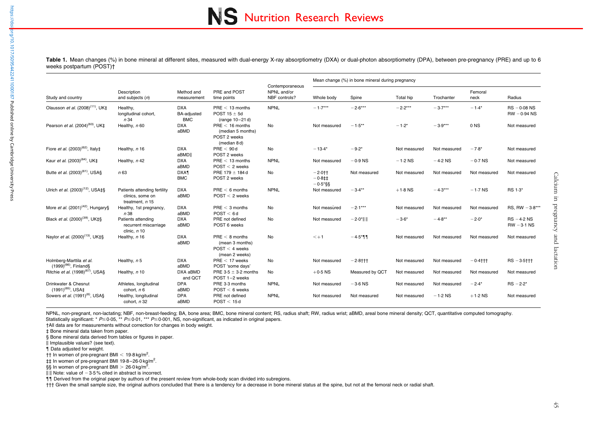Table 1. Mean changes (%) in bone mineral at different sites, measured with dual-energy X-ray absorptiometry (DXA) or dual-photon absorptiometry (DPA), between pre-pregnancy (PRE) and up to 6 weeks postpartum (POST)<sup>+</sup>

|                                                        |                                                                       |                                                |                                                                           |                                                 |                                      | Mean change (%) in bone mineral during pregnancy |              |              |                 |                                  |
|--------------------------------------------------------|-----------------------------------------------------------------------|------------------------------------------------|---------------------------------------------------------------------------|-------------------------------------------------|--------------------------------------|--------------------------------------------------|--------------|--------------|-----------------|----------------------------------|
| Study and country                                      | Description<br>and subjects $(n)$                                     | Method and<br>measurement                      | PRE and POST<br>time points                                               | Contemporaneous<br>NPNL and/or<br>NBF controls? | Whole body                           | Spine                                            | Total hip    | Trochanter   | Femoral<br>neck | Radius                           |
| Olausson et al. (2008) <sup>(11)</sup> , UK‡           | Healthy.<br>longitudinal cohort,<br>n 34                              | <b>DXA</b><br><b>BA-adjusted</b><br><b>BMC</b> | $PRE < 13$ months<br>POST 15 $\pm$ 5d<br>(range 10-21 d)                  | <b>NPNL</b>                                     | $-1.7***$                            | $-2.6***$                                        | $-2.2***$    | $-3.7***$    | $-1.4*$         | $RS - 0.08 NS$<br>$RW - 0.94$ NS |
| Pearson et al. (2004) <sup>(63)</sup> , UK‡            | Healthy, n 60                                                         | <b>DXA</b><br>aBMD                             | $PRE < 16$ months<br>(median 5 months)<br>POST 2 weeks<br>(median 8 d)    | <b>No</b>                                       | Not measured                         | $-1.5***$                                        | $-1.2*$      | $-3.9***$    | 0 <sub>NS</sub> | Not measured                     |
| Fiore et al. $(2003)^{(62)}$ , Italy $\ddagger$        | Healthy, n 16                                                         | <b>DXA</b><br>aBMDII                           | PRE < 90d<br>POST 2 weeks                                                 | No                                              | $-13.4*$                             | $-9.2*$                                          | Not measured | Not measured | $-7.8*$         | Not measured                     |
| Kaur et al. (2003) <sup>(64)</sup> , UK‡               | Healthy, n 42                                                         | <b>DXA</b><br>aBMD                             | $PRE < 13$ months<br>$POST < 2$ weeks                                     | <b>NPNL</b>                                     | Not measured                         | $-0.9$ NS                                        | $-1.2$ NS    | $-4.2$ NS    | $-0.7$ NS       | Not measured                     |
| Butte et al. (2003) <sup>(61)</sup> , USA§             | n 63                                                                  | <b>DXA</b><br><b>BMC</b>                       | PRE 179 $\pm$ 184 d<br>POST 2 weeks                                       | No                                              | $-2.0$ ††<br>$-0.8$ ‡‡<br>$-0.5*$ §§ | Not measured                                     | Not measured | Not measured | Not measured    | Not measured                     |
| Ulrich et al. $(2003)^{(12)}$ , USA‡§                  | Patients attending fertility<br>clinics, some on<br>treatment. $n$ 15 | <b>DXA</b><br>aBMD                             | $PRE < 6$ months<br>POST < 2 weeks                                        | <b>NPNL</b>                                     | Not measured                         | $-3.4**$                                         | $+1.8$ NS    | $-4.3***$    | $-1.7$ NS       | RS 1.3*                          |
| More et al. $(2001)^{(42)}$ , Hungary§                 | Healthy, 1st pregnancy,<br>n 38                                       | <b>DXA</b><br>aBMD                             | $PRE < 3$ months<br>POST < 6d                                             | <b>No</b>                                       | Not measured                         | $-2.1***$                                        | Not measured | Not measured | Not measured    | RS, RW $-3.8***$                 |
| Black et al. (2000) <sup>(39)</sup> , UK‡§             | Patients attending<br>recurrent miscarriage<br>clinic, $n10$          | <b>DXA</b><br>aBMD                             | PRE not defined<br>POST 6 weeks                                           | <b>No</b>                                       | Not measured                         | $-2.0$ *                                         | $-3.6*$      | $-4.8**$     | $-2.0*$         | $RS - 4.2 NS$<br>$RW - 3.1 NS$   |
| Naylor et al. (2000) <sup>(13)</sup> , UK‡§            | Healthy, n 16                                                         | <b>DXA</b><br>aBMD                             | $PRE < 8$ months<br>(mean 3 months)<br>$POST < 4$ weeks<br>(mean 2 weeks) | <b>No</b>                                       | $< +1$                               | $-4.5*$ ¶                                        | Not measured | Not measured | Not measured    | Not measured                     |
| Holmberg-Marttila et al.<br>$(1999)^{(66)}$ , Finland§ | Healthy, n 5                                                          | <b>DXA</b><br>aBMD                             | $PRE < 17$ weeks<br>POST 'some days'                                      | <b>No</b>                                       | Not measured                         | $-2.8$ †††                                       | Not measured | Not measured | $-0.4$ †††      | $RS - 3.5 + + +$                 |
| Ritchie et al. (1998) <sup>(67)</sup> , USA§           | Healthy, n 10                                                         | DXA aBMD<br>and QCT                            | PRE $3.5 \pm 3.2$ months<br>POST 1-2 weeks                                | No                                              | $+0.5$ NS                            | Measured by QCT                                  | Not measured | Not measured | Not measured    | Not measured                     |
| Drinkwater & Chesnut<br>$(1991)^{(65)}$ , USA‡         | Athletes, longitudinal<br>cohort, $n6$                                | <b>DPA</b><br>aBMD                             | PRE 3-3 months<br>$POST < 6$ weeks                                        | <b>NPNL</b>                                     | Not measured                         | $-3.6$ NS                                        | Not measured | Not measured | $-2.4*$         | $RS - 2.2^*$                     |
| Sowers et al. (1991) <sup>(6)</sup> , USA§             | Healthy, longitudinal<br>cohort, n 32                                 | <b>DPA</b><br>aBMD                             | PRE not defined<br>POST < 15d                                             | <b>NPNL</b>                                     | Not measured                         | Not measured                                     | Not measured | $-1.2$ NS    | $+1.2$ NS       | Not measured                     |

NPNL, non-pregnant, non-lactating; NBF, non-breast-feeding; BA, bone area; BMC, bone mineral content; RS, radius shaft; RW, radius wrist; aBMD, areal bone mineral density; QCT, quantitative computed tomography. Statistically significant: \*  $P \le 0.05$ , \*\*  $P \le 0.01$ , \*\*\*  $P \le 0.001$ , NS, non-significant, as indicated in original papers.

†All data are for measurements without correction for changes in body weight.

‡ Bone mineral data taken from paper.

§ Bone mineral data derived from tables or figures in paper.

k Implausible values? (see text).

{ Data adjusted for weight.

<https://doi.org/10.1017/S0954422411000187>Published online by Cambridge University Press

org/10.1017/S0954422411000187 Published online by Cambridge University Press

<span id="page-5-0"></span>https://ac

 $\dagger\dagger$  In women of pre-pregnant BMI  $< 19.8$  kg/m<sup>2</sup>.

 $\ddagger$ ‡ In women of pre-pregnant BMI 19 $\cdot$ 8-26 $\cdot$ 0 kg/m<sup>2</sup>.

§§ In women of pre-pregnant BMI > 26 $0$ kg/m<sup>2</sup>.

 $\| \|\$  Note: value of  $-3.5\%$  cited in abstract is incorrect.

{{ Derived from the original paper by authors of the present review from whole-body scan divided into subregions.

††† Given the small sample size, the original authors concluded that there is <sup>a</sup> tendency for <sup>a</sup> decrease in bone mineral status at the spine, but not at the femoral neck or radial shaft.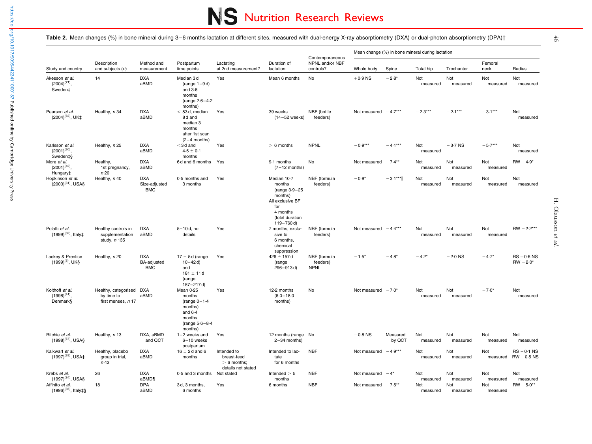<span id="page-6-0"></span>Table 2. Mean changes (%) in bone mineral during 3–6 months lactation at different sites, measured with dual-energy X-ray absorptiometry (DXA) or dual-photon absorptiometry (DPA)†

|                                                      |                                                          |                                                |                                                                                                          |                                                                   |                                                                                                                              |                                                 |                        |                    | Mean change (%) in bone mineral during lactation |                 |                 |                                |
|------------------------------------------------------|----------------------------------------------------------|------------------------------------------------|----------------------------------------------------------------------------------------------------------|-------------------------------------------------------------------|------------------------------------------------------------------------------------------------------------------------------|-------------------------------------------------|------------------------|--------------------|--------------------------------------------------|-----------------|-----------------|--------------------------------|
| Study and country                                    | Description<br>and subjects $(n)$                        | Method and<br>measurement                      | Postpartum<br>time points                                                                                | Lactating<br>at 2nd measurement?                                  | Duration of<br>lactation                                                                                                     | Contemporaneous<br>NPNL and/or NBF<br>controls? | Whole body             | Spine              | Total hip                                        | Trochanter      | Femoral<br>neck | Radius                         |
| Akesson et al.<br>$(2004)^{(71)}$ ,<br>Sweden‡       | 14                                                       | <b>DXA</b><br>aBMD                             | Median 3d<br>$(range 1-9d)$<br>and $3.6$<br>months<br>(range $2.6 - 4.2$<br>months)                      | Yes                                                               | Mean 6 months                                                                                                                | No                                              | $+0.9$ NS              | $-2.8*$            | Not<br>measured                                  | Not<br>measured | Not<br>measured | Not<br>measured                |
| Pearson et al.<br>$(2004)^{(63)}$ , UK‡              | Healthy, n 34                                            | <b>DXA</b><br>aBMD                             | $< 53$ d, median<br>8d and<br>median 3<br>months<br>after 1st scan<br>$(2-4$ months)                     | Yes                                                               | 39 weeks<br>$(14-52$ weeks)                                                                                                  | NBF (bottle<br>feeders)                         | Not measured $-4.7***$ |                    | $-2.3***$                                        | $-2.1***$       | $-3.1***$       | Not<br>measured                |
| Karlsson et al.<br>$(2001)^{(80)}$<br>Sweden‡§       | Healthy, n 25                                            | <b>DXA</b><br>aBMD                             | $<$ 3d and<br>$4.5 \pm 0.1$<br>months                                                                    | Yes                                                               | $> 6$ months                                                                                                                 | <b>NPNL</b>                                     | $-0.9***$              | $-4.1***$          | Not<br>measured                                  | $-3.7$ NS       | $-5.7***$       | Not<br>measured                |
| More et al.<br>$(2001)^{(42)}$<br>Hungary‡           | Healthy,<br>1st pregnancy,<br>n 20                       | <b>DXA</b><br>aBMD                             | 6d and 6 months                                                                                          | Yes                                                               | 9-1 months<br>$(7-12$ months)                                                                                                | <b>No</b>                                       | Not measured           | $-7.4**$           | Not<br>measured                                  | Not<br>measured | Not<br>measured | $RW - 4.9*$                    |
| Hopkinson et al.<br>$(2000)^{(81)}$ , USA§           | Healthy, n 40                                            | <b>DXA</b><br>Size-adjusted<br><b>BMC</b>      | 0.5 months and<br>3 months                                                                               | Yes                                                               | Median 10-7<br>months<br>(range $3.9 - 25$<br>months)<br>All exclusive BF<br>for<br>4 months<br>(total duration<br>119-760d) | NBF (formula<br>feeders)                        | $-0.9*$                | $-3.1***$          | Not<br>measured                                  | Not<br>measured | Not<br>measured | Not<br>measured                |
| Polatti et al.<br>$(1999)^{(82)}$ , Italy $\ddagger$ | Healthy controls in<br>supplementation<br>study, n 135   | <b>DXA</b><br>aBMD                             | $5 - 10d$ , no<br>details                                                                                | Yes                                                               | 7 months, exclu-<br>sive to<br>6 months.<br>chemical<br>suppression                                                          | NBF (formula<br>feeders)                        | Not measured $-4.4***$ |                    | Not<br>measured                                  | Not<br>measured | Not<br>measured | $RW - 2.2***$                  |
| Laskey & Prentice<br>$(1999)^{(8)}$ , UK§            | Healthy, n 20                                            | <b>DXA</b><br><b>BA-adjusted</b><br><b>BMC</b> | $17 \pm 5$ d (range<br>$10 - 42 d$<br>and<br>$181 \pm 11d$<br>(range<br>$157 - 217$ d)                   | Yes                                                               | $426 \pm 157$ d<br>(range<br>$296 - 913 d$                                                                                   | NBF (formula<br>feeders)<br><b>NPNL</b>         | $-1.5*$                | $-4.8*$            | $-4.2*$                                          | $-2.0$ NS       | $-4.7*$         | $RS + 0.6 NS$<br>$RW - 2.0*$   |
| Kolthoff et al.<br>$(1998)^{(41)}$<br>Denmark§       | Healthy, categorised<br>by time to<br>first menses, n 17 | <b>DXA</b><br>aBMD                             | Mean 0.25<br>months<br>(range $0-1.4$<br>months)<br>and $6.4$<br>months<br>(range $5.6 - 8.4$<br>months) | Yes                                                               | 12-2 months<br>$(6.0 - 18.0)$<br>months)                                                                                     | No                                              | Not measured $-7.0*$   |                    | Not<br>measured                                  | Not<br>measured | $-7.0*$         | Not<br>measured                |
| Ritchie et al.<br>$(1998)^{(67)}$ , USA§             | Healthy, n 13                                            | DXA, aBMD<br>and QCT                           | 1-2 weeks and<br>$6-10$ weeks<br>postpartum                                                              | Yes                                                               | 12 months (range No<br>$2-34$ months)                                                                                        |                                                 | $-0.8$ NS              | Measured<br>by QCT | Not<br>measured                                  | Not<br>measured | Not<br>measured | Not<br>measured                |
| Kalkwarf et al.<br>$(1997)^{(83)}$ . USA $\pm$       | Healthy, placebo<br>group in trial,<br>n 42              | <b>DXA</b><br>aBMD                             | $16 \pm 2$ d and 6<br>months                                                                             | Intended to<br>breast-feed<br>$> 6$ months:<br>details not stated | Intended to lac-<br>tate<br>for 6 months                                                                                     | <b>NBF</b>                                      | Not measured           | $-4.9***$          | Not<br>measured                                  | Not<br>measured | Not<br>measured | $RS - 0.1 NS$<br>$RW - 0.5$ NS |
| Krebs et al.<br>$(1997)^{(84)}$ , USA§               | 26                                                       | <b>DXA</b><br>aBMD¶                            | 0.5 and 3 months Not stated                                                                              |                                                                   | Intended $> 5$<br>months                                                                                                     | <b>NBF</b>                                      | Not measured $-4$ *    |                    | Not<br>measured                                  | Not<br>measured | Not<br>measured | Not<br>measured                |
| Affinito et al.<br>(1996) <sup>(85)</sup> , Italy‡§  | 18                                                       | <b>DPA</b><br>aBMD                             | 3d, 3 months,<br>6 months                                                                                | Yes                                                               | 6 months                                                                                                                     | <b>NBF</b>                                      | Not measured $-7.5**$  |                    | Not<br>measured                                  | Not<br>measured | Not<br>measured | $RW - 5.0**$                   |

94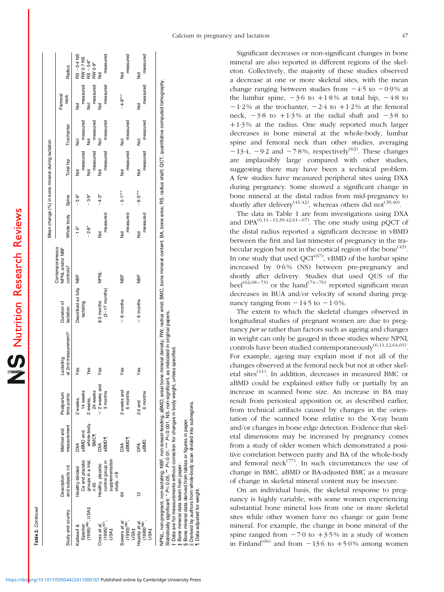Table 2. Continued Continued

|                                             |                                 |                           |                          |                                                                                                                                                                                                                    |                          |                                                 |               |           | Mean change (%) in bone mineral during lactation |            |                 |                  |
|---------------------------------------------|---------------------------------|---------------------------|--------------------------|--------------------------------------------------------------------------------------------------------------------------------------------------------------------------------------------------------------------|--------------------------|-------------------------------------------------|---------------|-----------|--------------------------------------------------|------------|-----------------|------------------|
| Study and country                           | and subjects (n)<br>Description | measurement<br>Method and | Postpartum<br>ime points | at 2nd measurement?<br>Lactating                                                                                                                                                                                   | Duration of<br>lactation | Contemporaneous<br>NPNL and/or NBF<br>controls? | Whole body    | Spine     | Total hip                                        | Trochanter | Femoral<br>neck | Radius           |
| Kalkwarf &                                  | Healthy blinded                 | DXA                       | 2 weeks,                 | Yes                                                                                                                                                                                                                | Described as fully NBF   |                                                 | $-1.5*$       | $-3.9*$   | ğ                                                | ğ          | ă               | RS-0-4 NS        |
| Specker                                     | Ca and placebo                  | aBMD and                  | 14 weeks                 |                                                                                                                                                                                                                    | lactating                |                                                 |               |           | measured                                         | measured   | measured        | <b>RW 0.7 NS</b> |
| $(1995)$ <sup>(86)</sup> , USA <sub>‡</sub> | groups in a trial,              | whole-body                | 2 weeks,                 | Yes                                                                                                                                                                                                                |                          |                                                 | $-2.8^*$      | $-3.9^*$  | ğ                                                | ă          | 5<br>Z          | $BS - 0.6*$      |
|                                             | n 65                            | <b>BMC1</b>               | 24 weeks                 |                                                                                                                                                                                                                    |                          |                                                 |               |           | measured                                         | measured   | measured        | RW 0.9*          |
| Cross et al.                                | Healthy, placebo                | DXA                       | $<$ 2 weeks and          | Yes                                                                                                                                                                                                                | 8-3 months               | Neki                                            | $\frac{1}{2}$ | $-4.3*$   | $\frac{1}{2}$                                    | ğ          | ă               | ă                |
| $(1995)^{(87)}$                             | control group in                | aBMD"                     | 3 months                 |                                                                                                                                                                                                                    | $(3-17$ months)          |                                                 | measured      |           | measured                                         | measured   | measured        | measured         |
| USA‡                                        | supplementation<br>study, n8    |                           |                          |                                                                                                                                                                                                                    |                          |                                                 |               |           |                                                  |            |                 |                  |
| Sowers et al.                               | 64                              | DХА                       | 2 weeks and              | Yes                                                                                                                                                                                                                | $> 6$ months             | le⊨                                             | ă             | $-5.1***$ | ğ                                                | ğ          | $-4.8***$       | ă                |
| $(1993)$ <sup>(89)</sup>                    |                                 | aBMD'                     | 6 months                 |                                                                                                                                                                                                                    |                          |                                                 | measured      |           | measured                                         | measured   |                 | measured         |
| Hayslip <i>et al.</i><br>USA <sub>‡</sub>   | 얻                               | DPA                       | 2 d and                  | Yes                                                                                                                                                                                                                | $> 6$ months             | i<br>9                                          | ğ             | $-6.5***$ | ă                                                | ğ          | ă               | ŏ                |
| $(1989)^{(88)}$                             |                                 | aBMD                      | 6 months                 |                                                                                                                                                                                                                    |                          |                                                 | measured      |           | measured                                         | measured   | measured        | measured         |
| <b>JSA‡</b>                                 |                                 |                           |                          |                                                                                                                                                                                                                    |                          |                                                 |               |           |                                                  |            |                 |                  |
|                                             |                                 |                           |                          |                                                                                                                                                                                                                    |                          |                                                 |               |           |                                                  |            |                 |                  |
|                                             |                                 |                           |                          | NPNL, non-pregnant, non-lactating; NBF, non-breast-feeding; aBMD, areal bone mineral density; RW, radius wrist; BMC, bone mineral content; BA, bone area; RS, radius shaft; QCT, quantitative computed tomography. |                          |                                                 |               |           |                                                  |            |                 |                  |
|                                             |                                 |                           |                          | Statistically significant: * P≤0.05, ** P≤0.01, *** P≤0.001, NS, non-significant, as indicated in original papers.                                                                                                 |                          |                                                 |               |           |                                                  |            |                 |                  |

† Data are for measurements without correction for changes in body weight, unless specified.

Data are for measurements without correction for changes in body weight, unless specified

‡ Bone mineral data taken from paper.

Bone mineral data taken from paper

§ Bone mineral data derived from tables or figures in paper.

Derived by authors from whole-body scan divided into subregions.

by authors from whole-body scan divided into subregions. mineral data derived from tables or figures in paper

 $=$ 

Derived Bone r

-

Data adjusted for weight.

Data adjusted for weight

Significant decreases or non-significant changes in bone mineral are also reported in different regions of the skeleton. Collectively, the majority of these studies observed a decrease at one or more skeletal sites, with the mean change ranging between studies from  $-4.5$  to  $-0.9\%$  at the lumbar spine,  $-3.6$  to  $+1.8\%$  at total hip,  $-4.8$  to  $-1.2\%$  at the trochanter,  $-2.4$  to  $+1.2\%$  at the femoral neck,  $-3.8$  to  $+1.3\%$  at the radial shaft and  $-3.8$  to  $+1.3$ % at the radius. One study reported much larger decreases in bone mineral at the whole-body, lumbar spine and femoral neck than other studies, averaging  $-13.4$ ,  $-9.2$  and  $-7.8\%$ , respectively<sup>(62)</sup>. These changes are implausibly large compared with other studies, suggesting there may have been a technical problem. A few studies have measured peripheral sites using DXA during pregnancy. Some showed a significant change in bone mineral at the distal radius from mid-pregnancy to shortly after delivery<sup>(41,42)</sup>, whereas others did not<sup>(39,40)</sup>

The data in [Table 1](#page-5-0) are from investigations using DXA and  $DPA^{(6,11-13,39,42,61-67)}$ . The one study using pQCT of the distal radius reported a significant decrease in vBMD between the first and last trimester of pregnancy in the trabecular region but not in the cortical region of the bone<sup> $(43)$ </sup>. In one study that used  $OCT^{(67)}$ , vBMD of the lumbar spine increased by 0·6 % (NS) between pre-pregnancy and shortly after delivery. Studies that used QUS of the heel<sup>(62,68–73)</sup> or the hand<sup>(74–76)</sup> reported significant mean decreases in BUA and/or velocity of sound during pregnancy ranging from  $-14.5$  to  $-1.0\%$ .

The extent to which the skeletal changes observed in longitudinal studies of pregnant women are due to pregnancy per se rather than factors such as ageing and changes in weight can only be gauged in those studies where NPNL controls have been studied contemporaneously $^{(6,11,12,64,65)}$ For example, ageing may explain most if not all of the changes observed at the femoral neck but not at other skeletal sites $^{(11)}$ . In addition, decreases in measured BMC or aBMD could be explained either fully or partially by an increase in scanned bone size. An increase in BA may result from periosteal apposition or, as described earlier, from technical artifacts caused by changes in the orientation of the scanned bone relative to the X-ray beam and/or changes in bone edge detection. Evidence that skeletal dimensions may be increased by pregnancy comes from a study of older women which demonstrated a positive correlation between parity and BA of the whole-body and femoral neck<sup> $(77)$ </sup>. In such circumstances the use of change in BMC, aBMD or BA-adjusted BMC as a measure of change in skeletal mineral content may be insecure.

On an individual basis, the skeletal response to pregnancy is highly variable, with some women experiencing substantial bone mineral loss from one or more skeletal sites while other women have no change or gain bone mineral. For example, the change in bone mineral of the spine ranged from  $-7.0$  to  $+3.5\%$  in a study of women in Finland<sup>(66)</sup> and from  $-13.6$  to  $+5.0\%$  among women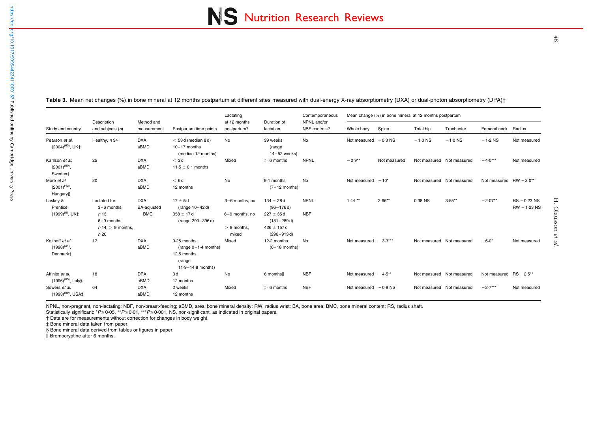<span id="page-8-0"></span>Table 3. Mean net changes (%) in bone mineral at 12 months postpartum at different sites measured with dual-energy X-ray absorptiometry (DXA) or dual-photon absorptiometry (DPA)†

|                                                           |                                                                 |                                  |                                                                                         | Lactating                                |                                                                       | Contemporaneous              |                        | Mean change (%) in bone mineral at 12 months postpartum |           |                           |                           |                                  |
|-----------------------------------------------------------|-----------------------------------------------------------------|----------------------------------|-----------------------------------------------------------------------------------------|------------------------------------------|-----------------------------------------------------------------------|------------------------------|------------------------|---------------------------------------------------------|-----------|---------------------------|---------------------------|----------------------------------|
| Study and country                                         | Description<br>and subjects $(n)$                               | Method and<br>measurement        | Postpartum time points                                                                  | at 12 months<br>postpartum?              | Duration of<br>lactation                                              | NPNL and/or<br>NBF controls? | Whole body             | Spine                                                   | Total hip | Trochanter                | Femoral neck              | Radius                           |
| Pearson et al.<br>$(2004)^{(63)}$ , UK‡                   | Healthy, n 34                                                   | <b>DXA</b><br>aBMD               | $< 53d$ (median 8d)<br>$10-17$ months<br>(median 12 months)                             | No                                       | 39 weeks<br>(range<br>$14-52$ weeks)                                  | No                           | Not measured $+0.3$ NS |                                                         | $-1.0$ NS | $+1.0$ NS                 | $-1.2$ NS                 | Not measured                     |
| Karllson et al.<br>$(2001)^{(80)}$<br>Sweden <sup>#</sup> | 25                                                              | <b>DXA</b><br>aBMD               | $<$ 3d<br>11.5 $\pm$ 0.1 months                                                         | Mixed                                    | $> 6$ months                                                          | <b>NPNL</b>                  | $-0.9**$               | Not measured                                            |           | Not measured Not measured | $-4.0***$                 | Not measured                     |
| More et al.<br>$(2001)^{(42)}$<br>Hungary§                | 20                                                              | <b>DXA</b><br>aBMD               | < 6d<br>12 months                                                                       | <b>No</b>                                | 9-1 months<br>$(7-12$ months)                                         | No                           | Not measured $-10^*$   |                                                         |           | Not measured Not measured | Not measured $RW - 2.0**$ |                                  |
| Laskey &<br>Prentice                                      | Lactated for:<br>3-6 months,                                    | <b>DXA</b><br><b>BA-adjusted</b> | $17 \pm 5d$<br>(range 10-42 d)                                                          | 3-6 months, no                           | $134 \pm 28$ d<br>$(96 - 176d)$                                       | <b>NPNL</b>                  | $1.44***$              | $2.66***$                                               | 0-38 NS   | $3.55***$                 | $-2.07**$                 | $RS - 0.23 NS$<br>$RW - 1.23 NS$ |
| $(1999)^{(8)}$ , UK‡                                      | n <sub>13</sub><br>6-9 months,<br>$n 14$ ; $> 9$ months,<br>n20 | <b>BMC</b>                       | $358 \pm 17$ d<br>(range 290-396d)                                                      | 6-9 months, no<br>$> 9$ months.<br>mixed | $227 \pm 35$ d<br>$(181 - 289d)$<br>$426 \pm 157$ d<br>$(296 - 913d)$ | <b>NBF</b>                   |                        |                                                         |           |                           |                           |                                  |
| Kolthoff et al.<br>$(1998)^{(41)}$ ,<br>Denmark‡          | 17                                                              | <b>DXA</b><br>aBMD               | 0.25 months<br>(range $0-1.4$ months)<br>12-5 months<br>(range<br>$11.9 - 14.8$ months) | Mixed                                    | 12-2 months<br>$(6-18$ months)                                        | No                           | Not measured           | $-3.3***$                                               |           | Not measured Not measured | $-6.0*$                   | Not measured                     |
| Affinito et al.<br>$(1996)^{(85)}$ , Italy§               | 18                                                              | <b>DPA</b><br>aBMD               | 3d<br>12 months                                                                         | No                                       | 6 monthsll                                                            | <b>NBF</b>                   | Not measured           | $-4.5**$                                                |           | Not measured Not measured | Not measured              | $RS - 2.5***$                    |
| Sowers et al.<br>$(1993)^{(89)}$ , USA‡                   | 64                                                              | <b>DXA</b><br>aBMD               | 2 weeks<br>12 months                                                                    | Mixed                                    | $> 6$ months                                                          | <b>NBF</b>                   | Not measured           | $-0.8$ NS                                               |           | Not measured Not measured | $-2.7***$                 | Not measured                     |

NPNL, non-pregnant, non-lactating; NBF, non-breast-feeding; aBMD, areal bone mineral density; RW, radius wrist; BA, bone area; BMC, bone mineral content; RS, radius shaft.

Statistically significant: \* $P \le 0.05$ , \*\* $P \le 0.01$ , \*\*\* $P \le 0.001$ , NS, non-significant, as indicated in original papers.

† Data are for measurements without correction for changes in body weight.

‡ Bone mineral data taken from paper.

§ Bone mineral data derived from tables or figures in paper.

 $\parallel$  Bromocryptine after 6 months.

 $48$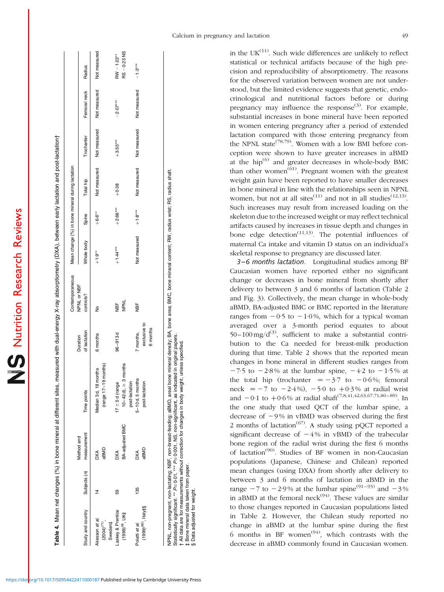<span id="page-9-0"></span>

|                                                         |     |                                        |                                                        |                                       | Contemporaneous          | Mean change (%) in bone mineral during lactation |            |                  |              |                     |                                  |
|---------------------------------------------------------|-----|----------------------------------------|--------------------------------------------------------|---------------------------------------|--------------------------|--------------------------------------------------|------------|------------------|--------------|---------------------|----------------------------------|
| Study and country                                       |     | Subjects (n) measurement<br>Method and | Time points                                            | of lactation<br>Duration              | NPNL or NBF<br>controls? | Whole body<br>Spine                              |            | <b>Total hip</b> | Trochanter   | Femoral neck Radius |                                  |
| Akesson et al.<br>$(2004)^{(71)}$ ,<br>Sweden‡          |     | aBMD<br>DXA                            | $(range 17-19 months)$<br>Median 3d, 18 months         | 6 months                              | å                        | $*^{6}$<br>+1.9*                                 | $+6.6$ **  | Not measured     | Not measured | Not measured        | Not measured                     |
| askey & Prentice<br>$(1999)^{(8)}$ , UK‡                | 59  | BA-adjusted BMC<br>DXA                 | 3 months<br>$17 + 5d$ (range<br>$10-42d$ , $\geq$      | $96 - 913d$                           | <b>NHAN</b><br>ian<br>M  | $+1.44***$                                       | $+2.66***$ | $+0.38$          | $+3.55***$   | $-2.07***$          | $RS - 0.23$ NS<br>$RW - 1.23***$ |
| $(1999)^{(82)}$ , Italy $\frac{1}{2}$<br>Polatti et al. | 135 | aBMD<br>DXA                            | $5-10d$ , 5 months<br>post-lactation<br>post-lactation | exclusive to<br>6 months<br>7 months, | ja<br>B                  | Not measured                                     | $+1.8***$  | Not measured     | Not measured | Not measured        | $-1.3***$                        |
|                                                         |     |                                        |                                                        |                                       |                          |                                                  |            |                  |              |                     |                                  |

able 4. Mean net changes (%) in bone mineral at different sites, measured with dual-energy X-ray absorptiometry (DXA), between early lactation and post-lactationn Mean net changes (%) in bone mineral at different sites, measured with dual-energy X-ray absorptiometry (DXA), between early lactation and post-lactation†

NPN∟, non-pregnant, non-lactating; NBF, non-breast-feeding; aBMD, areal bone mineral density; BA, bone area; BMC, bone mineral content; RW, radius wrist; RS, radius shaft. NPNL, non-pregnant, non-lactating; NBF, non-breast-feeding; aBMD, areal bone mineral density; BA, bone area; BMC, bone mineral content; RW, radius wrist; RS, radius shaft. Statistically significant: \*\* P≤0.01,\*\*\* P≤0.001, NS, non-significant, as indicated in original papers.<br>† All data are for measurements without correction for changes in body weight, unless specified. Statistically significant: \*\* P=0.01, NS, non-significant, as indicated in original papers. Statistically

† All data are for measurements without correction for changes in body weight, unless specified. Bone mineral data taken from paper. ‡ Bone mineral data taken from paper.

§ Data adjusted for weight.

**Data adjusted for weight.** 

in the  $UK^{(11)}$ . Such wide differences are unlikely to reflect statistical or technical artifacts because of the high precision and reproducibility of absorptiometry. The reasons for the observed variation between women are not understood, but the limited evidence suggests that genetic, endocrinological and nutritional factors before or during pregnancy may influence the response<sup> $(3)$ </sup>. For example, substantial increases in bone mineral have been reported in women entering pregnancy after a period of extended lactation compared with those entering pregnancy from the NPNL state<sup> $(78,79)$ </sup>. Women with a low BMI before conception were shown to have greater increases in aBMD at the hip<sup> $(6)$ </sup> and greater decreases in whole-body BMC than other women $(61)$ . Pregnant women with the greatest weight gain have been reported to have smaller decreases in bone mineral in line with the relationships seen in NPNL women, but not at all sites<sup>(11)</sup> and not in all studies<sup>(12,13)</sup> Such increases may result from increased loading on the skeleton due to the increased weight or may reflect technical artifacts caused by increases in tissue depth and changes in bone edge detection<sup> $(11,13)$ </sup>. The potential influences of maternal Ca intake and vitamin D status on an individual's skeletal response to pregnancy are discussed later.

3–6 months lactation. Longitudinal studies among BF Caucasian women have reported either no significant change or decreases in bone mineral from shortly after delivery to between 3 and 6 months of lactation ([Table 2](#page-6-0) and [Fig. 3](#page-11-0)). Collectively, the mean change in whole-body aBMD, BA-adjusted BMC or BMC reported in the literature ranges from  $-0.5$  to  $-1.0\%$ , which for a typical woman averaged over a 3-month period equates to about 50–100 mg/d<sup>(3)</sup>, sufficient to make a substantial contribution to the Ca needed for breast-milk production during that time. [Table 2](#page-6-0) shows that the reported mean changes in bone mineral in different studies ranges from  $-7.5$  to  $-2.8\%$  at the lumbar spine,  $-4.2$  to  $-1.5\%$  at the total hip (trochanter  $= -3.7$  to  $-0.6\%$ ; femoral neck  $= -7$  to  $-2.4\%$ ),  $-5.0$  to  $+0.3\%$  at radial wrist and  $-0.1$  to  $+0.6$ % at radial shaft<sup>(7,8,41,42,63,67,71,80–89)</sup>. In the one study that used QCT of the lumbar spine, a decrease of  $-9\%$  in vBMD was observed during the first 2 months of lactation<sup> $(67)$ </sup>. A study using pOCT reported a significant decrease of  $-4\%$  in vBMD of the trabecular bone region of the radial wrist during the first 6 months of lactation<sup>(90)</sup>. Studies of BF women in non-Caucasian populations (Japanese, Chinese and Chilean) reported mean changes (using DXA) from shortly after delivery to between 3 and 6 months of lactation in aBMD in the range  $-7$  to  $-2.9\%$  at the lumbar spine<sup>(91–93)</sup> and  $-3\%$ in aBMD at the femoral neck<sup> $(94)$ </sup>. These values are similar to those changes reported in Caucasian populations listed in [Table 2](#page-6-0). However, the Chilean study reported no change in aBMD at the lumbar spine during the first 6 months in BF women<sup> $(94)$ </sup>, which contrasts with the decrease in aBMD commonly found in Caucasian women.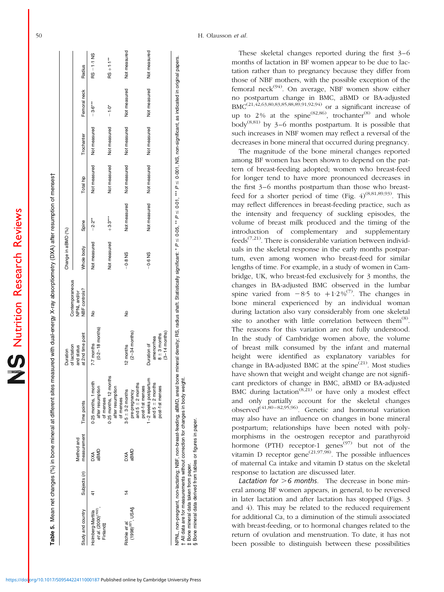| C      |  |
|--------|--|
| Í<br>c |  |
|        |  |
|        |  |

ပ္ပ

| ׇ֚֓֡                     |  |
|--------------------------|--|
|                          |  |
|                          |  |
|                          |  |
| l                        |  |
|                          |  |
|                          |  |
|                          |  |
|                          |  |
|                          |  |
|                          |  |
|                          |  |
|                          |  |
|                          |  |
|                          |  |
|                          |  |
|                          |  |
|                          |  |
|                          |  |
|                          |  |
|                          |  |
|                          |  |
|                          |  |
|                          |  |
|                          |  |
| i                        |  |
|                          |  |
|                          |  |
|                          |  |
| i                        |  |
|                          |  |
|                          |  |
|                          |  |
|                          |  |
| j                        |  |
|                          |  |
|                          |  |
|                          |  |
|                          |  |
|                          |  |
|                          |  |
| i                        |  |
|                          |  |
|                          |  |
|                          |  |
|                          |  |
|                          |  |
|                          |  |
|                          |  |
|                          |  |
|                          |  |
|                          |  |
|                          |  |
|                          |  |
|                          |  |
|                          |  |
|                          |  |
|                          |  |
|                          |  |
|                          |  |
|                          |  |
|                          |  |
|                          |  |
|                          |  |
|                          |  |
|                          |  |
|                          |  |
|                          |  |
|                          |  |
|                          |  |
|                          |  |
|                          |  |
| $\vdots$                 |  |
|                          |  |
|                          |  |
|                          |  |
|                          |  |
|                          |  |
|                          |  |
|                          |  |
|                          |  |
|                          |  |
|                          |  |
|                          |  |
|                          |  |
|                          |  |
|                          |  |
|                          |  |
|                          |  |
|                          |  |
|                          |  |
|                          |  |
|                          |  |
|                          |  |
|                          |  |
|                          |  |
|                          |  |
|                          |  |
|                          |  |
|                          |  |
|                          |  |
|                          |  |
| è                        |  |
|                          |  |
| $\overline{\phantom{a}}$ |  |
|                          |  |
|                          |  |
|                          |  |
| $\vdots$<br>ap<br>Ī      |  |

<span id="page-10-0"></span>

|                                                                   |              |                           |                                                                                                                                                                                                                                                                                                           | of lactation<br>Duration                                         | Contemporaneous              | Change in aBMD (%) |              |              |              |              |              |
|-------------------------------------------------------------------|--------------|---------------------------|-----------------------------------------------------------------------------------------------------------------------------------------------------------------------------------------------------------------------------------------------------------------------------------------------------------|------------------------------------------------------------------|------------------------------|--------------------|--------------|--------------|--------------|--------------|--------------|
| Study and country                                                 | Subjects (n) | measurement<br>Method and | Time points                                                                                                                                                                                                                                                                                               | at 2nd time point<br>and status                                  | NBF controls?<br>NPNL and/or | Whole body         | Spine        | Total hip    | Trochanter   | Femoral neck | Radius       |
| et al. (2000) <sup>(102)</sup> ,<br>Holmberg-Martilla<br>Finland‡ |              | aBMD<br>DXA               | 0.25 months, 1 month<br>after resumption<br>of menses                                                                                                                                                                                                                                                     | $(0.2 - 18$ months)<br>7.7 months                                | $\frac{1}{2}$                | Not measured       | $-2.2**$     | Not measured | Not measured | $-3.6***$    | RS-1-1 NS    |
|                                                                   |              |                           | 0.25 months, 12 months<br>after resumption<br>of menses                                                                                                                                                                                                                                                   |                                                                  |                              | Not measured       | $*3.3**$     | Not measured | Not measured | $-1.0*$      | $BS + 1.1**$ |
| $(1998)^{(67)}$ , USA§<br>Ritchie <i>et al.</i>                   | 4            | aBMD<br><b>DXA</b>        | and $5 \pm 2$ months<br>post-1st menses<br>$3.5 \pm 3.2$ months<br>pre-pregnancy                                                                                                                                                                                                                          | $(2-34$ months)<br>12 months                                     | ş                            | $-0.8$ NS          | Not measured | Not measured | Not measured | Not measured | Not measured |
|                                                                   |              |                           | 1-2 weeks postpartu<br>and $5 \pm 2$ months<br>post-1st menses                                                                                                                                                                                                                                            | $(3-14$ months)<br>$8 \pm 3$ months<br>amenorrhea<br>Duration of |                              | $-0.6$ NS          | Not measured | Not measured | Not measured | Not measured | Not measured |
|                                                                   |              |                           | NPNL, non-lactating; NBF, non-breast-feeding; aBMD, areal bone mineral density; RS, radius shaft. Statistically significant: ^ P ≤ 0.05, ** P ≤ 0.01, ** P ≤ 0.01, NS, non-significant, as indicated in original papers.<br>t All data are for measurements without correction for changes in body weight |                                                                  |                              |                    |              |              |              |              |              |

These skeletal changes reported during the first 3–6 months of lactation in BF women appear to be due to lactation rather than to pregnancy because they differ from those of NBF mothers, with the possible exception of the femoral neck<sup> $(94)$ </sup>. On average, NBF women show either no postpartum change in BMC, aBMD or BA-adjusted  $BMC^{(21, 42, 63, 80, 83, 85, 88, 89, 91, 92, 94)}$  or a significant increase of up to 2% at the spine $^{(82,86)}$ , trochanter<sup>(8)</sup> and whole  $body^{(8,81)}$  by 3–6 months postpartum. It is possible that such increases in NBF women may reflect a reversal of the decreases in bone mineral that occurred during pregnancy.

The magnitude of the bone mineral changes reported among BF women has been shown to depend on the pattern of breast-feeding adopted; women who breast-feed for longer tend to have more pronounced decreases in the first 3–6 months postpartum than those who breastfeed for a shorter period of time (Fig.  $4^{(8,81,89,93)}$ . This may reflect differences in breast-feeding practice, such as the intensity and frequency of suckling episodes, the volume of breast milk produced and the timing of the introduction of complementary and supplementary  ${\rm feeds}^{(7,21)}$ . There is considerable variation between individuals in the skeletal response in the early months postpartum, even among women who breast-feed for similar lengths of time. For example, in a study of women in Cambridge, UK, who breast-fed exclusively for 3 months, the changes in BA-adjusted BMC observed in the lumbar spine varied from  $-8.5$  to  $+1.2\%$ <sup>(7)</sup>. The changes in bone mineral experienced by an individual woman during lactation also vary considerably from one skeletal site to another with little correlation between them $(8)$ . The reasons for this variation are not fully understood. In the study of Cambridge women above, the volume of breast milk consumed by the infant and maternal height were identified as explanatory variables for change in BA-adjusted BMC at the spine<sup>(21)</sup>. Most studies have shown that weight and weight change are not significant predictors of change in BMC, aBMD or BA-adjusted BMC during lactation<sup> $(8,21)$ </sup> or have only a modest effect and only partially account for the skeletal changes observed(41,80–82,95,96). Genetic and hormonal variation may also have an influence on changes in bone mineral postpartum; relationships have been noted with polymorphisms in the oestrogen receptor and parathyroid hormone (PTH) receptor-1 genes<sup> $(97)$ </sup> but not of the vitamin D receptor  $\text{gene}^{(21,97,98)}$ . The possible influences of maternal Ca intake and vitamin D status on the skeletal response to lactation are discussed later.

Lactation for  $>6$  months. The decrease in bone mineral among BF women appears, in general, to be reversed in later lactation and after lactation has stopped [\(Figs. 3](#page-11-0) [and 4\)](#page-11-0). This may be related to the reduced requirement for additional Ca, to a diminution of the stimuli associated with breast-feeding, or to hormonal changes related to the return of ovulation and menstruation. To date, it has not been possible to distinguish between these possibilities

‡ Bone mineral data taken from paper.

Bone r<br>Bone r

§ Bone mineral data derived from tables or figures in paper.

mineral data taken from paper.<br>mineral data derived from tables or figures in paper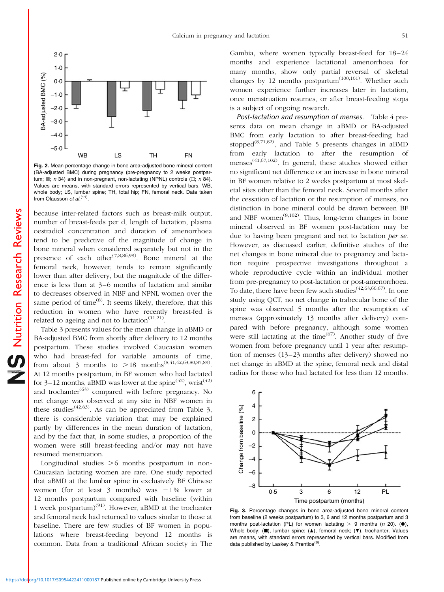<span id="page-11-0"></span>

Fig. 2. Mean percentage change in bone area-adjusted bone mineral content (BA-adjusted BMC) during pregnancy (pre-pregnancy to 2 weeks postpartum;  $\equiv$ ; n 34) and in non-pregnant, non-lactating (NPNL) controls ( $\Box$ ; n 84). Values are means, with standard errors represented by vertical bars. WB, whole body; LS, lumbar spine; TH, total hip; FN, femoral neck. Data taken from Olausson et  $al.$ <sup>(11)</sup>.

because inter-related factors such as breast-milk output, number of breast-feeds per d, length of lactation, plasma oestradiol concentration and duration of amenorrhoea tend to be predictive of the magnitude of change in bone mineral when considered separately but not in the presence of each other<sup> $(7,8,86,99)$ </sup>. Bone mineral at the femoral neck, however, tends to remain significantly lower than after delivery, but the magnitude of the difference is less than at 3–6 months of lactation and similar to decreases observed in NBF and NPNL women over the same period of time $^{(8)}$ . It seems likely, therefore, that this reduction in women who have recently breast-fed is related to ageing and not to lactation<sup> $(11,21)$ </sup>.

[Table 3](#page-8-0) presents values for the mean change in aBMD or BA-adjusted BMC from shortly after delivery to 12 months postpartum. These studies involved Caucasian women who had breast-fed for variable amounts of time, from about 3 months to  $>18$  months<sup>(8,41,42,63,80,85,89)</sup>. At 12 months postpartum, in BF women who had lactated for 3–12 months, aBMD was lower at the spine<sup> $(42)$ </sup>, wrist<sup> $(42)$ </sup> and trochanter<sup> $(63)$ </sup> compared with before pregnancy. No net change was observed at any site in NBF women in these studies<sup>(42,63)</sup>. As can be appreciated from [Table 3,](#page-8-0) there is considerable variation that may be explained partly by differences in the mean duration of lactation, and by the fact that, in some studies, a proportion of the women were still breast-feeding and/or may not have resumed menstruation.

Longitudinal studies  $\geq 6$  months postpartum in non-Caucasian lactating women are rare. One study reported that aBMD at the lumbar spine in exclusively BF Chinese women (for at least  $3$  months) was  $-1\%$  lower at 12 months postpartum compared with baseline (within 1 week postpartum) $^{(91)}$ . However, aBMD at the trochanter and femoral neck had returned to values similar to those at baseline. There are few studies of BF women in populations where breast-feeding beyond 12 months is common. Data from a traditional African society in The Gambia, where women typically breast-feed for 18–24 months and experience lactational amenorrhoea for many months, show only partial reversal of skeletal changes by 12 months postpartum<sup> $(100,101)$ </sup>. Whether such women experience further increases later in lactation, once menstruation resumes, or after breast-feeding stops is a subject of ongoing research.

Post-lactation and resumption of menses. [Table 4](#page-9-0) presents data on mean change in aBMD or BA-adjusted BMC from early lactation to after breast-feeding had stopped<sup>(8,71,82)</sup>, and [Table 5](#page-10-0) presents changes in aBMD from early lactation to after the resumption of menses<sup> $(41,67,102)$ </sup>. In general, these studies showed either no significant net difference or an increase in bone mineral in BF women relative to 2 weeks postpartum at most skeletal sites other than the femoral neck. Several months after the cessation of lactation or the resumption of menses, no distinction in bone mineral could be drawn between BF and NBF women<sup> $(8,102)$ </sup>. Thus, long-term changes in bone mineral observed in BF women post-lactation may be due to having been pregnant and not to lactation per se. However, as discussed earlier, definitive studies of the net changes in bone mineral due to pregnancy and lactation require prospective investigations throughout a whole reproductive cycle within an individual mother from pre-pregnancy to post-lactation or post-amenorrhoea. To date, there have been few such studies<sup> $(42,63,66,67)$ </sup>. In one study using QCT, no net change in trabecular bone of the spine was observed 5 months after the resumption of menses (approximately 13 months after delivery) compared with before pregnancy, although some women were still lactating at the time<sup> $(67)$ </sup>. Another study of five women from before pregnancy until 1 year after resumption of menses (13–23 months after delivery) showed no net change in aBMD at the spine, femoral neck and distal radius for those who had lactated for less than 12 months.



Fig. 3. Percentage changes in bone area-adjusted bone mineral content from baseline (2 weeks postpartum) to 3, 6 and 12 months postpartum and 3 months post-lactation (PL) for women lactating  $> 9$  months (n 20). ( $\bullet$ ), Whole body;  $(\blacksquare)$ , lumbar spine;  $(\blacktriangle)$ , femoral neck;  $(\blacktriangledown)$ , trochanter. Values are means, with standard errors represented by vertical bars. Modified from data published by Laskey & Prentice<sup>(8)</sup>.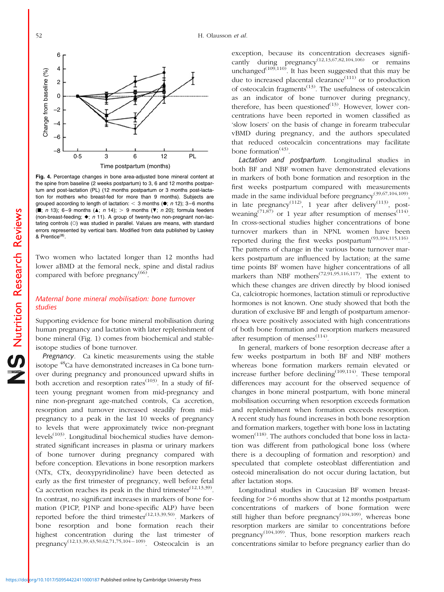<span id="page-12-0"></span>

Fig. 4. Percentage changes in bone area-adjusted bone mineral content at the spine from baseline (2 weeks postpartum) to 3, 6 and 12 months postpartum and post-lactation (PL) (12 months postpartum or 3 months post-lactation for mothers who breast-fed for more than 9 months). Subjects are grouped according to length of lactation:  $<$  3 months ( $\bullet$ : n 12); 3–6 months  $(\blacksquare; n 13)$ ; 6-9 months  $(\blacktriangle; n 14)$ ; > 9 months ( $\nabla$ ; n 20); formula feeders (non-breast-feeding;  $\blacklozenge$ ; n 11). A group of twenty-two non-pregnant non-lactating controls  $( \circ )$  was studied in parallel. Values are means, with standard errors represented by vertical bars. Modified from data published by Laskey & Prentice(8).

Two women who lactated longer than 12 months had lower aBMD at the femoral neck, spine and distal radius compared with before pregnancy $(66)$ .

## Maternal bone mineral mobilisation: bone turnover studies

Supporting evidence for bone mineral mobilisation during human pregnancy and lactation with later replenishment of bone mineral ([Fig. 1\)](#page-4-0) comes from biochemical and stableisotope studies of bone turnover.

Pregnancy. Ca kinetic measurements using the stable isotope 48Ca have demonstrated increases in Ca bone turnover during pregnancy and pronounced upward shifts in both accretion and resorption rates<sup> $(103)$ </sup>. In a study of fifteen young pregnant women from mid-pregnancy and nine non-pregnant age-matched controls, Ca accretion, resorption and turnover increased steadily from midpregnancy to a peak in the last 10 weeks of pregnancy to levels that were approximately twice non-pregnant  $levels^{(103)}$ . Longitudinal biochemical studies have demonstrated significant increases in plasma or urinary markers of bone turnover during pregnancy compared with before conception. Elevations in bone resorption markers (NTx, CTx, deoxypyridinoline) have been detected as early as the first trimester of pregnancy, well before fetal Ca accretion reaches its peak in the third trimester<sup> $(12,13,39)$ </sup>. In contrast, no significant increases in markers of bone formation (P1CP, P1NP and bone-specific ALP) have been reported before the third trimester $(12,13,39,50)$ . Markers of bone resorption and bone formation reach their highest concentration during the last trimester of pregnancy(12,13,39,43,50,62,71,75,104--109). Osteocalcin is an

exception, because its concentration decreases significantly during pregnancy<sup>(12,13,67,82,104,106)</sup> or remains unchanged<sup> $(109,110)$ </sup>. It has been suggested that this may be due to increased placental clearance $^{(111)}$  or to production of osteocalcin fragments<sup> $(13)$ </sup>. The usefulness of osteocalcin as an indicator of bone turnover during pregnancy, therefore, has been questioned $^{(13)}$ . However, lower concentrations have been reported in women classified as 'slow losers' on the basis of change in forearm trabecular vBMD during pregnancy, and the authors speculated that reduced osteocalcin concentrations may facilitate bone formation<sup>(43)</sup>.

Lactation and postpartum. Longitudinal studies in both BF and NBF women have demonstrated elevations in markers of both bone formation and resorption in the first weeks postpartum compared with measurements made in the same individual before pregnancy $(39,67,104,109)$ , in late pregnancy<sup>(112)</sup>, 1 year after delivery<sup>(113)</sup>, postweaning<sup>(71,87)</sup> or 1 year after resumption of menses<sup>(114)</sup>. In cross-sectional studies higher concentrations of bone turnover markers than in NPNL women have been reported during the first weeks postpartum<sup>(93,104,115,116)</sup>. The patterns of change in the various bone turnover markers postpartum are influenced by lactation; at the same time points BF women have higher concentrations of all markers than NBF mothers<sup>(72,91,95,116,117)</sup>. The extent to which these changes are driven directly by blood ionised Ca, calciotropic hormones, lactation stimuli or reproductive hormones is not known. One study showed that both the duration of exclusive BF and length of postpartum amenorrhoea were positively associated with high concentrations of both bone formation and resorption markers measured after resumption of menses $^{(114)}$ .

In general, markers of bone resorption decrease after a few weeks postpartum in both BF and NBF mothers whereas bone formation markers remain elevated or increase further before declining<sup> $(109,114)$ </sup>. These temporal differences may account for the observed sequence of changes in bone mineral postpartum, with bone mineral mobilisation occurring when resorption exceeds formation and replenishment when formation exceeds resorption. A recent study has found increases in both bone resorption and formation markers, together with bone loss in lactating women<sup>(118)</sup>. The authors concluded that bone loss in lactation was different from pathological bone loss (where there is a decoupling of formation and resorption) and speculated that complete osteoblast differentiation and osteoid mineralisation do not occur during lactation, but after lactation stops.

Longitudinal studies in Caucasian BF women breastfeeding for  $>6$  months show that at 12 months postpartum concentrations of markers of bone formation were still higher than before pregnancy<sup>(104,109)</sup>, whereas bone resorption markers are similar to concentrations before pregnancy<sup>(104,109)</sup>. Thus, bone resorption markers reach concentrations similar to before pregnancy earlier than do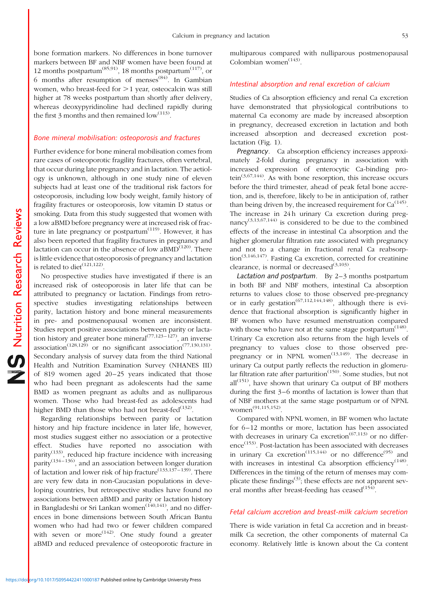bone formation markers. No differences in bone turnover markers between BF and NBF women have been found at 12 months postpartum<sup> $(85,91)$ </sup>, 18 months postpartum<sup> $(117)$ </sup>, or 6 months after resumption of menses<sup> $(84)$ </sup>. In Gambian women, who breast-feed for  $>1$  year, osteocalcin was still higher at 78 weeks postpartum than shortly after delivery, whereas deoxypyridinoline had declined rapidly during the first 3 months and then remained  $\text{low}^{(113)}$ .

#### Bone mineral mobilisation: osteoporosis and fractures

Further evidence for bone mineral mobilisation comes from rare cases of osteoporotic fragility fractures, often vertebral, that occur during late pregnancy and in lactation. The aetiology is unknown, although in one study nine of eleven subjects had at least one of the traditional risk factors for osteoporosis, including low body weight, family history of fragility fractures or osteoporosis, low vitamin D status or smoking. Data from this study suggested that women with a low aBMD before pregnancy were at increased risk of fracture in late pregnancy or postpartum<sup> $(119)$ </sup>. However, it has also been reported that fragility fractures in pregnancy and lactation can occur in the absence of low  $aBMD^{(120)}$ . There is little evidence that osteoporosis of pregnancy and lactation is related to diet<sup>(121,122)</sup>.

No prospective studies have investigated if there is an increased risk of osteoporosis in later life that can be attributed to pregnancy or lactation. Findings from retrospective studies investigating relationships between parity, lactation history and bone mineral measurements in pre- and postmenopausal women are inconsistent. Studies report positive associations between parity or lactation history and greater bone mineral<sup>(77,123–127)</sup>, an inverse association<sup>(128,129)</sup> or no significant association<sup>(77,130,131)</sup>. Secondary analysis of survey data from the third National Health and Nutrition Examination Survey (NHANES III) of 819 women aged 20–25 years indicated that those who had been pregnant as adolescents had the same BMD as women pregnant as adults and as nulliparous women. Those who had breast-fed as adolescents had higher BMD than those who had not breast-fed $^{(132)}$ .

Regarding relationships between parity or lactation history and hip fracture incidence in later life, however, most studies suggest either no association or a protective effect. Studies have reported no association with parity<sup> $(133)$ </sup>, reduced hip fracture incidence with increasing parity<sup> $(134-136)$ </sup>, and an association between longer duration of lactation and lower risk of hip fracture<sup>(133,137–139)</sup>. There are very few data in non-Caucasian populations in developing countries, but retrospective studies have found no associations between aBMD and parity or lactation history in Bangladeshi or Sri Lankan women<sup>(140,141)</sup>, and no differences in bone dimensions between South African Bantu women who had had two or fewer children compared with seven or more<sup> $(142)$ </sup>. One study found a greater aBMD and reduced prevalence of osteoporotic fracture in multiparous compared with nulliparous postmenopausal Colombian women $(143)$ .

### Intestinal absorption and renal excretion of calcium

Studies of Ca absorption efficiency and renal Ca excretion have demonstrated that physiological contributions to maternal Ca economy are made by increased absorption in pregnancy, decreased excretion in lactation and both increased absorption and decreased excretion postlactation [\(Fig. 1](#page-4-0)).

Pregnancy. Ca absorption efficiency increases approximately 2-fold during pregnancy in association with increased expression of enterocytic Ca-binding protein<sup> $(3,67,144)$ </sup>. As with bone resorption, this increase occurs before the third trimester, ahead of peak fetal bone accretion, and is, therefore, likely to be in anticipation of, rather than being driven by, the increased requirement for  $Ca^{(145)}$ . The increase in 24h urinary Ca excretion during pregnancy<sup>(3,13,67,144)</sup> is considered to be due to the combined effects of the increase in intestinal Ca absorption and the higher glomerular filtration rate associated with pregnancy and not to a change in fractional renal Ca reabsorp- $\text{tion}^{(3,146,147)}$ . Fasting Ca excretion, corrected for creatinine clearance, is normal or decreased $^{(3,103)}$ .

Lactation and postpartum. By 2-3 months postpartum in both BF and NBF mothers, intestinal Ca absorption returns to values close to those observed pre-pregnancy or in early gestation<sup>(67,112,144,148)</sup>, although there is evidence that fractional absorption is significantly higher in BF women who have resumed menstruation compared with those who have not at the same stage postpartum $(148)$ . Urinary Ca excretion also returns from the high levels of pregnancy to values close to those observed prepregnancy or in NPNL women<sup> $(13,149)$ </sup>. The decrease in urinary Ca output partly reflects the reduction in glomerular filtration rate after parturition<sup>(150)</sup>. Some studies, but not  $all^{(151)}$ , have shown that urinary Ca output of BF mothers during the first 3–6 months of lactation is lower than that of NBF mothers at the same stage postpartum or of NPNL women<sup>(91,115,152)</sup>.

Compared with NPNL women, in BF women who lactate for 6–12 months or more, lactation has been associated with decreases in urinary Ca excretion<sup>(67,113)</sup> or no difference<sup>(153)</sup>. Post-lactation has been associated with decreases in urinary Ca excretion<sup>(115,144)</sup> or no difference<sup>(95)</sup> and with increases in intestinal Ca absorption efficiency<sup> $(148)$ </sup>. Differences in the timing of the return of menses may complicate these findings $(3)$ ; these effects are not apparent several months after breast-feeding has ceased $(154)$ .

#### Fetal calcium accretion and breast-milk calcium secretion

There is wide variation in fetal Ca accretion and in breastmilk Ca secretion, the other components of maternal Ca economy. Relatively little is known about the Ca content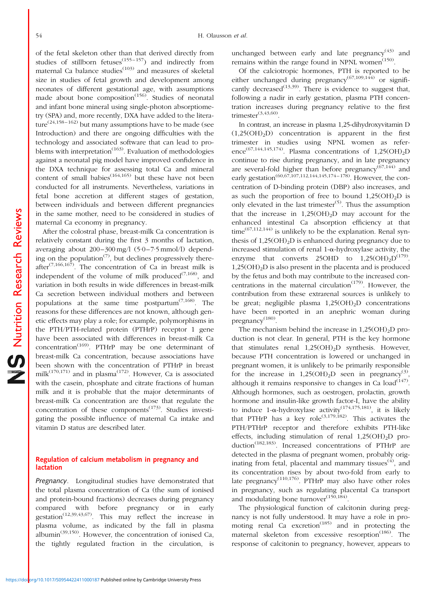of the fetal skeleton other than that derived directly from studies of stillborn fetuses<sup> $(155-157)$ </sup> and indirectly from maternal Ca balance studies $(103)$  and measures of skeletal size in studies of fetal growth and development among neonates of different gestational age, with assumptions made about bone composition<sup> $(156)$ </sup>. Studies of neonatal and infant bone mineral using single-photon absorptiometry (SPA) and, more recently, DXA have added to the litera- $\textrm{ture}^{(24,158-162)}$  but many assumptions have to be made (see Introduction) and there are ongoing difficulties with the technology and associated software that can lead to problems with interpretation<sup> $(163)$ </sup>. Evaluation of methodologies against a neonatal pig model have improved confidence in the DXA technique for assessing total Ca and mineral content of small babies<sup> $(164,165)$ </sup> but these have not been conducted for all instruments. Nevertheless, variations in fetal bone accretion at different stages of gestation, between individuals and between different pregnancies in the same mother, need to be considered in studies of maternal Ca economy in pregnancy.

After the colostral phase, breast-milk Ca concentration is relatively constant during the first 3 months of lactation, averaging about 200–300 mg/l (5·0–7·5 mmol/l) depending on the population<sup> $(7)$ </sup>, but declines progressively thereafter<sup> $(7,166,167)$ </sup>. The concentration of Ca in breast milk is independent of the volume of milk produced $(7,168)$ , and variation in both results in wide differences in breast-milk Ca secretion between individual mothers and between populations at the same time postpartum $(7,168)$ . The reasons for these differences are not known, although genetic effects may play a role; for example, polymorphisms in the PTH/PTH-related protein (PTHrP) receptor 1 gene have been associated with differences in breast-milk Ca concentration<sup> $(169)$ </sup>. PTHrP may be one determinant of breast-milk Ca concentration, because associations have been shown with the concentration of PTHrP in breast milk<sup> $(170,171)$ </sup> and in plasma<sup> $(172)$ </sup>. However, Ca is associated with the casein, phosphate and citrate fractions of human milk and it is probable that the major determinants of breast-milk Ca concentration are those that regulate the concentration of these components<sup> $(173)$ </sup>. Studies investigating the possible influence of maternal Ca intake and vitamin D status are described later.

## Regulation of calcium metabolism in pregnancy and lactation

Pregnancy. Longitudinal studies have demonstrated that the total plasma concentration of Ca (the sum of ionised and protein-bound fractions) decreases during pregnancy compared with before pregnancy or in early gestation<sup> $(12,39,43,67)$ </sup>. This may reflect the increase in plasma volume, as indicated by the fall in plasma albumin<sup>(39,150)</sup>. However, the concentration of ionised Ca, the tightly regulated fraction in the circulation, is

unchanged between early and late pregnancy $(43)$  and remains within the range found in NPNL women $^{(150)}$ .

Of the calciotropic hormones, PTH is reported to be either unchanged during pregnancy<sup>(67,109,144)</sup> or significantly decreased<sup> $(13,39)$ </sup>. There is evidence to suggest that, following a nadir in early gestation, plasma PTH concentration increases during pregnancy relative to the first trimester $^{(3,43,60)}$ .

In contrast, an increase in plasma 1,25-dihydroxyvitamin D  $(1,25(OH)<sub>2</sub>D)$  concentration is apparent in the first trimester in studies using NPNL women as reference<sup>(67,144,145,174)</sup>. Plasma concentrations of  $1,25(OH)_{2}D$ continue to rise during pregnancy, and in late pregnancy are several-fold higher than before pregnancy $(67,144)$  and early gestation<sup>(60,67,107,112,144,145,174–178)</sup>. However, the concentration of D-binding protein (DBP) also increases, and as such the proportion of free to bound  $1,25(OH)_2D$  is only elevated in the last trimester<sup>(5)</sup>. Thus the assumption that the increase in  $1,25(OH)_2D$  may account for the enhanced intestinal Ca absorption efficiency at that  $time^{(67,112,144)}$  is unlikely to be the explanation. Renal synthesis of  $1,25(OH)_{2}D$  is enhanced during pregnancy due to increased stimulation of renal  $1-\alpha$ -hydroxylase activity, the enzyme that converts 25OHD to  $1,25(OH)_{2}D^{(179)}$ .  $1,25(OH)<sub>2</sub>D$  is also present in the placenta and is produced by the fetus and both may contribute to the increased concentrations in the maternal circulation<sup> $(179)$ </sup>. However, the contribution from these extrarenal sources is unlikely to be great; negligible plasma  $1,25(OH)_2D$  concentrations have been reported in an anephric woman during pregnancy<sup>(180)</sup>.

The mechanism behind the increase in  $1,25(OH)_2D$  production is not clear. In general, PTH is the key hormone that stimulates renal  $1,25(OH)_2D$  synthesis. However, because PTH concentration is lowered or unchanged in pregnant women, it is unlikely to be primarily responsible for the increase in  $1,25(OH)_2D$  seen in pregnancy<sup>(3)</sup>, although it remains responsive to changes in Ca  $load^{(147)}$ . Although hormones, such as oestrogen, prolactin, growth hormone and insulin-like growth factor-I, have the ability to induce 1- $\alpha$ -hydroxylase activity<sup>(174,175,181)</sup>, it is likely that PTHrP has a key role<sup>(3,179,182)</sup>. This activates the PTH/PTHrP receptor and therefore exhibits PTH-like effects, including stimulation of renal  $1,25(OH)_2D$  production(182,183). Increased concentrations of PTHrP are detected in the plasma of pregnant women, probably originating from fetal, placental and mammary tissues<sup> $(4)$ </sup>, and its concentration rises by about two-fold from early to late pregnancy<sup> $(110,176)$ </sup>. PTHrP may also have other roles in pregnancy, such as regulating placental Ca transport and modulating bone turnover $(150,184)$ .

The physiological function of calcitonin during pregnancy is not fully understood. It may have a role in promoting renal Ca excretion<sup> $(185)$ </sup> and in protecting the maternal skeleton from excessive resorption<sup>(186)</sup>. The response of calcitonin to pregnancy, however, appears to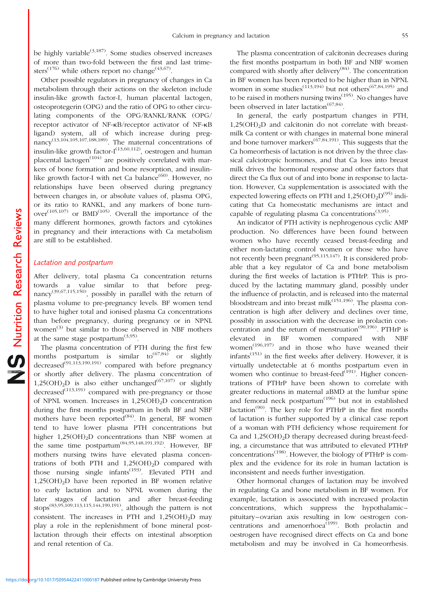be highly variable<sup>(3,187)</sup>. Some studies observed increases of more than two-fold between the first and last trimesters<sup>(176)</sup> while others report no change<sup>(43,67)</sup>.

Other possible regulators in pregnancy of changes in Ca metabolism through their actions on the skeleton include insulin-like growth factor-I, human placental lactogen, osteoprotegerin (OPG) and the ratio of OPG to other circulating components of the OPG/RANKL/RANK (OPG/ receptor activator of NF-kB/receptor activator of NF-kB ligand) system, all of which increase during pregnancy<sup>(13,104,105,107,188,189)</sup>. The maternal concentrations of insulin-like growth factor- $I^{(13,60,112)}$ , oestrogen and human placental lactogen<sup> $(104)$ </sup> are positively correlated with markers of bone formation and bone resorption, and insulinlike growth factor-I with net Ca balance<sup> $(60)$ </sup>. However, no relationships have been observed during pregnancy between changes in, or absolute values of, plasma OPG, or its ratio to RANKL, and any markers of bone turnover<sup>(105,107)</sup> or  $BMD$ <sup>(105)</sup>. Overall the importance of the many different hormones, growth factors and cytokines in pregnancy and their interactions with Ca metabolism are still to be established.

### Lactation and postpartum

After delivery, total plasma Ca concentration returns towards a value similar to that before pregnancy<sup>(39,67,115,150)</sup>, possibly in parallel with the return of plasma volume to pre-pregnancy levels. BF women tend to have higher total and ionised plasma Ca concentrations than before pregnancy, during pregnancy or in NPNL women<sup>(3)</sup> but similar to those observed in NBF mothers at the same stage postpartum $(3,95)$ .

The plasma concentration of PTH during the first few months postpartum is similar to  $(67,84)$  or slightly decreased<sup>(91,113,190,191)</sup> compared with before pregnancy or shortly after delivery. The plasma concentration of  $1,25(OH)_{2}D$  is also either unchanged<sup>(67,107)</sup> or slightly decreased<sup>(113,191)</sup> compared with pre-pregnancy or those of NPNL women. Increases in  $1,25(OH)_{2}D$  concentration during the first months postpartum in both BF and NBF mothers have been reported<sup>(84)</sup>. In general, BF women tend to have lower plasma PTH concentrations but higher  $1,25(OH)_2D$  concentrations than NBF women at the same time postpartum(84,95,148,191,192). However, BF mothers nursing twins have elevated plasma concentrations of both PTH and  $1,25(OH)_{2}D$  compared with those nursing single infants<sup> $(193)$ </sup>. Elevated PTH and  $1,25(OH)_{2}D$  have been reported in BF women relative to early lactation and to NPNL women during the later stages of lactation and after breast-feeding stops<sup>(83,95,109,113,115,144,190,191)</sup>, although the pattern is not consistent. The increases in PTH and  $1,25(OH)_2D$  may play a role in the replenishment of bone mineral postlactation through their effects on intestinal absorption and renal retention of Ca.

The plasma concentration of calcitonin decreases during the first months postpartum in both BF and NBF women compared with shortly after delivery<sup> $(84)$ </sup>. The concentration in BF women has been reported to be higher than in NPNL women in some studies<sup>(113,194)</sup> but not others<sup>(67,84,195)</sup> and to be raised in mothers nursing twins<sup>(195)</sup>. No changes have been observed in later lactation<sup>(67,84)</sup>.

In general, the early postpartum changes in PTH, 1,25(OH)2D and calcitonin do not correlate with breastmilk Ca content or with changes in maternal bone mineral and bone turnover markers<sup> $(67,84,191)$ </sup>. This suggests that the Ca homeorrhesis of lactation is not driven by the three classical calciotropic hormones, and that Ca loss into breast milk drives the hormonal response and other factors that direct the Ca flux out of and into bone in response to lactation. However, Ca supplementation is associated with the expected lowering effects on PTH and  $1,25(OH)_2D^{(95)}$  indicating that Ca homeostatic mechanisms are intact and capable of regulating plasma Ca concentrations<sup> $(3,95)$ </sup>.

An indicator of PTH activity is nephrogenous cyclic AMP production. No differences have been found between women who have recently ceased breast-feeding and either non-lactating control women or those who have not recently been pregnant<sup> $(95,115,147)$ </sup>. It is considered probable that a key regulator of Ca and bone metabolism during the first weeks of lactation is PTHrP. This is produced by the lactating mammary gland, possibly under the influence of prolactin, and is released into the maternal bloodstream and into breast milk $^{(151,196)}$ . The plasma concentration is high after delivery and declines over time, possibly in association with the decrease in prolactin concentration and the return of menstruation<sup> $(90,196)$ </sup>. PTHrP is elevated in BF women compared with NBF women<sup>(196,197)</sup> and in those who have weaned their infants $^{(151)}$  in the first weeks after delivery. However, it is virtually undetectable at 6 months postpartum even in women who continue to breast-feed $^{(191)}$ . Higher concentrations of PTHrP have been shown to correlate with greater reductions in maternal aBMD at the lumbar spine and femoral neck postpartum $(196)$  but not in established lactation<sup> $(90)$ </sup>. The key role for PTHrP in the first months of lactation is further supported by a clinical case report of a woman with PTH deficiency whose requirement for Ca and 1,25(OH)<sub>2</sub>D therapy decreased during breast-feeding, a circumstance that was attributed to elevated PTHrP  $\overline{\text{concentrations}}^{(198)}$ . However, the biology of PTHrP is complex and the evidence for its role in human lactation is inconsistent and needs further investigation.

Other hormonal changes of lactation may be involved in regulating Ca and bone metabolism in BF women. For example, lactation is associated with increased prolactin concentrations, which suppress the hypothalamic– pituitary–ovarian axis resulting in low oestrogen concentrations and amenorrhoea<sup> $(199)$ </sup>. Both prolactin and oestrogen have recognised direct effects on Ca and bone metabolism and may be involved in Ca homeorrhesis.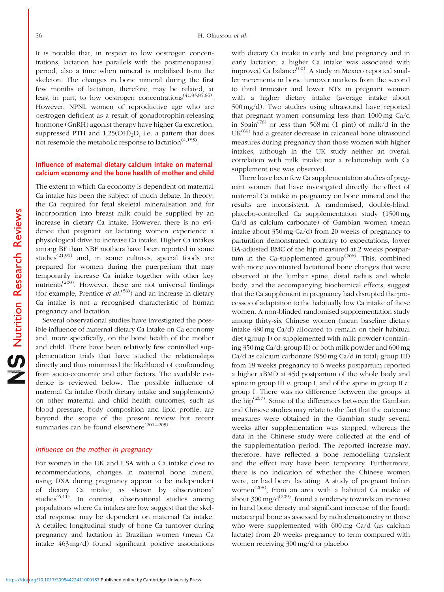It is notable that, in respect to low oestrogen concentrations, lactation has parallels with the postmenopausal period, also a time when mineral is mobilised from the skeleton. The changes in bone mineral during the first few months of lactation, therefore, may be related, at least in part, to low oestrogen concentrations<sup>(41,83,85,86)</sup>. However, NPNL women of reproductive age who are oestrogen deficient as a result of gonadotrophin-releasing hormone (GnRH) agonist therapy have higher Ca excretion, suppressed PTH and  $1,25(OH)_2D$ , i.e. a pattern that does not resemble the metabolic response to lactation<sup> $(4,185)$ </sup>.

### Influence of maternal dietary calcium intake on maternal calcium economy and the bone health of mother and child

The extent to which Ca economy is dependent on maternal Ca intake has been the subject of much debate. In theory, the Ca required for fetal skeletal mineralisation and for incorporation into breast milk could be supplied by an increase in dietary Ca intake. However, there is no evidence that pregnant or lactating women experience a physiological drive to increase Ca intake. Higher Ca intakes among BF than NBF mothers have been reported in some studies<sup> $(21,91)$ </sup> and, in some cultures, special foods are prepared for women during the puerperium that may temporarily increase Ca intake together with other key nutrients<sup> $(200)$ </sup>. However, these are not universal findings (for example, Prentice *et al.*<sup>(56)</sup>) and an increase in dietary Ca intake is not a recognised characteristic of human pregnancy and lactation.

Several observational studies have investigated the possible influence of maternal dietary Ca intake on Ca economy and, more specifically, on the bone health of the mother and child. There have been relatively few controlled supplementation trials that have studied the relationships directly and thus minimised the likelihood of confounding from socio-economic and other factors. The available evidence is reviewed below. The possible influence of maternal Ca intake (both dietary intake and supplements) on other maternal and child health outcomes, such as blood pressure, body composition and lipid profile, are beyond the scope of the present review but recent summaries can be found elsewhere<sup> $(201-205)$ </sup>.

### Influence on the mother in pregnancy

For women in the UK and USA with a Ca intake close to recommendations, changes in maternal bone mineral using DXA during pregnancy appear to be independent of dietary Ca intake, as shown by observational studies<sup> $(6,11)$ </sup>. In contrast, observational studies among populations where Ca intakes are low suggest that the skeletal response may be dependent on maternal Ca intake. A detailed longitudinal study of bone Ca turnover during pregnancy and lactation in Brazilian women (mean Ca intake 463 mg/d) found significant positive associations

with dietary Ca intake in early and late pregnancy and in early lactation; a higher Ca intake was associated with improved Ca balance<sup>(60)</sup>. A study in Mexico reported smaller increments in bone turnover markers from the second to third trimester and lower NTx in pregnant women with a higher dietary intake (average intake about 500 mg/d). Two studies using ultrasound have reported that pregnant women consuming less than 1000 mg Ca/d in Spain<sup>(76)</sup> or less than 568 ml (1 pint) of milk/d in the  $UK<sup>(69)</sup>$  had a greater decrease in calcaneal bone ultrasound measures during pregnancy than those women with higher intakes, although in the UK study neither an overall correlation with milk intake nor a relationship with Ca supplement use was observed.

There have been few Ca supplementation studies of pregnant women that have investigated directly the effect of maternal Ca intake in pregnancy on bone mineral and the results are inconsistent. A randomised, double-blind, placebo-controlled Ca supplementation study (1500 mg Ca/d as calcium carbonate) of Gambian women (mean intake about 350 mg Ca/d) from 20 weeks of pregnancy to parturition demonstrated, contrary to expectations, lower BA-adjusted BMC of the hip measured at 2 weeks postpartum in the Ca-supplemented group<sup> $(206)$ </sup>. This, combined with more accentuated lactational bone changes that were observed at the lumbar spine, distal radius and whole body, and the accompanying biochemical effects, suggest that the Ca supplement in pregnancy had disrupted the processes of adaptation to the habitually low Ca intake of these women. A non-blinded randomised supplementation study among thirty-six Chinese women (mean baseline dietary intake 480 mg Ca/d) allocated to remain on their habitual diet (group I) or supplemented with milk powder (containing 350 mg Ca/d; group II) or both milk powder and 600 mg Ca/d as calcium carbonate (950mg Ca/d in total; group III) from 18 weeks pregnancy to 6 weeks postpartum reported a higher aBMD at 45d postpartum of the whole body and spine in group III v. group I, and of the spine in group II v. group I. There was no difference between the groups at the hip<sup> $(207)$ </sup>. Some of the differences between the Gambian and Chinese studies may relate to the fact that the outcome measures were obtained in the Gambian study several weeks after supplementation was stopped, whereas the data in the Chinese study were collected at the end of the supplementation period. The reported increase may, therefore, have reflected a bone remodelling transient and the effect may have been temporary. Furthermore, there is no indication of whether the Chinese women were, or had been, lactating. A study of pregnant Indian women<sup>(208)</sup>, from an area with a habitual Ca intake of about  $300 \text{ mg/d}^{(209)}$ , found a tendency towards an increase in hand bone density and significant increase of the fourth metacarpal bone as assessed by radiodensitometry in those who were supplemented with 600 mg Ca/d (as calcium lactate) from 20 weeks pregnancy to term compared with women receiving 300 mg/d or placebo.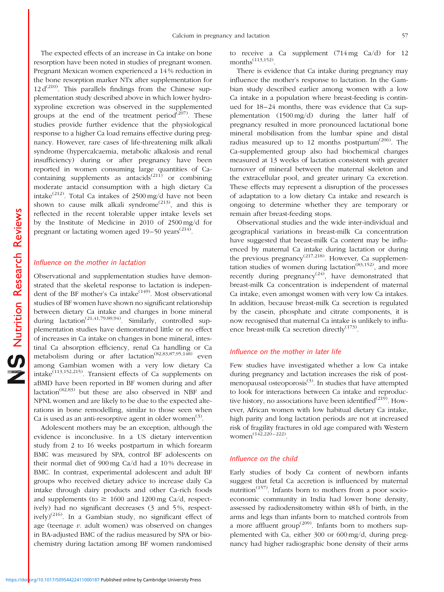The expected effects of an increase in Ca intake on bone resorption have been noted in studies of pregnant women. Pregnant Mexican women experienced a 14 % reduction in the bone resorption marker NTx after supplementation for  $12 d^{(210)}$ . This parallels findings from the Chinese supplementation study described above in which lower hydroxyproline excretion was observed in the supplemented groups at the end of the treatment period<sup>(207)</sup>. These studies provide further evidence that the physiological response to a higher Ca load remains effective during pregnancy. However, rare cases of life-threatening milk alkali syndrome (hypercalcaemia, metabolic alkalosis and renal insufficiency) during or after pregnancy have been reported in women consuming large quantities of Cacontaining supplements as antacids<sup> $(211)$ </sup> or combining moderate antacid consumption with a high dietary Ca intake<sup>(212)</sup>. Total Ca intakes of 2500 mg/d have not been shown to cause milk alkali syndrome<sup>(213)</sup>, and this is reflected in the recent tolerable upper intake levels set by the Institute of Medicine in 2010 of 2500 mg/d for pregnant or lactating women aged  $19-50$  years<sup> $(214)$ </sup>.

### Influence on the mother in lactation

Observational and supplementation studies have demonstrated that the skeletal response to lactation is independent of the BF mother's Ca intake $^{(149)}$ . Most observational studies of BF women have shown no significant relationship between dietary Ca intake and changes in bone mineral during lactation<sup>(21,41,79,89,94)</sup>. Similarly, controlled supplementation studies have demonstrated little or no effect of increases in Ca intake on changes in bone mineral, intestinal Ca absorption efficiency, renal Ca handling or Ca metabolism during or after lactation<sup>(82,83,87,95,148)</sup> even among Gambian women with a very low dietary Ca intake<sup>(113,152,215)</sup>. Transient effects of Ca supplements on aBMD have been reported in BF women during and after lactation<sup>(82,83)</sup> but these are also observed in NBF and NPNL women and are likely to be due to the expected alterations in bone remodelling, similar to those seen when Ca is used as an anti-resorptive agent in older women<sup>(3)</sup>.

Adolescent mothers may be an exception, although the evidence is inconclusive. In a US dietary intervention study from 2 to 16 weeks postpartum in which forearm BMC was measured by SPA, control BF adolescents on their normal diet of 900 mg Ca/d had a 10 % decrease in BMC. In contrast, experimental adolescent and adult BF groups who received dietary advice to increase daily Ca intake through dairy products and other Ca-rich foods and supplements (to  $\geq 1600$  and 1200 mg Ca/d, respectively) had no significant decreases (3 and 5 %, respect $i$ vely)<sup>(216)</sup>. In a Gambian study, no significant effect of age (teenage  $v$ . adult women) was observed on changes in BA-adjusted BMC of the radius measured by SPA or biochemistry during lactation among BF women randomised to receive a Ca supplement  $(714 \text{ mg } Ca/d)$  for 12 months $(113,152)$ 

There is evidence that Ca intake during pregnancy may influence the mother's response to lactation. In the Gambian study described earlier among women with a low Ca intake in a population where breast-feeding is continued for 18–24 months, there was evidence that Ca supplementation (1500 mg/d) during the latter half of pregnancy resulted in more pronounced lactational bone mineral mobilisation from the lumbar spine and distal radius measured up to 12 months postpartum $^{(206)}$ . The Ca-supplemented group also had biochemical changes measured at 13 weeks of lactation consistent with greater turnover of mineral between the maternal skeleton and the extracellular pool, and greater urinary Ca excretion. These effects may represent a disruption of the processes of adaptation to a low dietary Ca intake and research is ongoing to determine whether they are temporary or remain after breast-feeding stops.

Observational studies and the wide inter-individual and geographical variations in breast-milk Ca concentration have suggested that breast-milk Ca content may be influenced by maternal Ca intake during lactation or during the previous pregnancy<sup>(217,218)</sup>. However, Ca supplementation studies of women during lactation<sup> $(83,152)$ </sup>, and more recently during pregnancy<sup>(24)</sup>, have demonstrated that breast-milk Ca concentration is independent of maternal Ca intake, even amongst women with very low Ca intakes. In addition, because breast-milk Ca secretion is regulated by the casein, phosphate and citrate components, it is now recognised that maternal Ca intake is unlikely to influence breast-milk Ca secretion directly $(173)$ .

### Influence on the mother in later life

Few studies have investigated whether a low Ca intake during pregnancy and lactation increases the risk of postmenopausal osteoporosis $(3)$ . In studies that have attempted to look for interactions between Ca intake and reproductive history, no associations have been identified<sup>(219)</sup>. However, African women with low habitual dietary Ca intake, high parity and long lactation periods are not at increased risk of fragility fractures in old age compared with Western women $(142,220-222)$ 

#### Influence on the child

Early studies of body Ca content of newborn infants suggest that fetal Ca accretion is influenced by maternal nutrition<sup> $(157)$ </sup>. Infants born to mothers from a poor socioeconomic community in India had lower bone density, assessed by radiodensitometry within 48 h of birth, in the arms and legs than infants born to matched controls from a more affluent group<sup>(209)</sup>. Infants born to mothers supplemented with Ca, either 300 or 600 mg/d, during pregnancy had higher radiographic bone density of their arms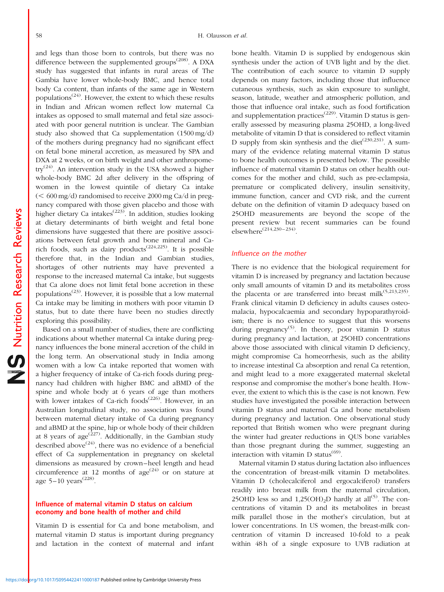and legs than those born to controls, but there was no difference between the supplemented groups<sup> $(208)$ </sup>. A DXA study has suggested that infants in rural areas of The Gambia have lower whole-body BMC, and hence total body Ca content, than infants of the same age in Western populations<sup> $(24)$ </sup>. However, the extent to which these results in Indian and African women reflect low maternal Ca intakes as opposed to small maternal and fetal size associated with poor general nutrition is unclear. The Gambian study also showed that Ca supplementation (1500 mg/d) of the mothers during pregnancy had no significant effect on fetal bone mineral accretion, as measured by SPA and DXA at 2 weeks, or on birth weight and other anthropome $try^{(24)}$ . An intervention study in the USA showed a higher whole-body BMC 2d after delivery in the offspring of women in the lowest quintile of dietary Ca intake  $(< 600 \,\text{mg/d})$  randomised to receive 2000 mg Ca/d in pregnancy compared with those given placebo and those with higher dietary Ca intakes<sup> $(223)$ </sup>. In addition, studies looking at dietary determinants of birth weight and fetal bone dimensions have suggested that there are positive associations between fetal growth and bone mineral and Carich foods, such as dairy products<sup> $(224,225)$ </sup>. It is possible therefore that, in the Indian and Gambian studies, shortages of other nutrients may have prevented a response to the increased maternal Ca intake, but suggests that Ca alone does not limit fetal bone accretion in these populations<sup> $(23)$ </sup>. However, it is possible that a low maternal Ca intake may be limiting in mothers with poor vitamin D status, but to date there have been no studies directly exploring this possibility.

Based on a small number of studies, there are conflicting indications about whether maternal Ca intake during pregnancy influences the bone mineral accretion of the child in the long term. An observational study in India among women with a low Ca intake reported that women with a higher frequency of intake of Ca-rich foods during pregnancy had children with higher BMC and aBMD of the spine and whole body at 6 years of age than mothers with lower intakes of Ca-rich foods<sup> $(226)$ </sup>. However, in an Australian longitudinal study, no association was found between maternal dietary intake of Ca during pregnancy and aBMD at the spine, hip or whole body of their children at 8 years of age<sup> $(227)$ </sup>. Additionally, in the Gambian study described above<sup>(24)</sup>, there was no evidence of a beneficial effect of Ca supplementation in pregnancy on skeletal dimensions as measured by crown–heel length and head circumference at 12 months of  $age^{(24)}$  or on stature at age  $5-10$  years<sup> $(228)$ </sup>.

### Influence of maternal vitamin D status on calcium economy and bone health of mother and child

Vitamin D is essential for Ca and bone metabolism, and maternal vitamin D status is important during pregnancy and lactation in the context of maternal and infant

bone health. Vitamin D is supplied by endogenous skin synthesis under the action of UVB light and by the diet. The contribution of each source to vitamin D supply depends on many factors, including those that influence cutaneous synthesis, such as skin exposure to sunlight, season, latitude, weather and atmospheric pollution, and those that influence oral intake, such as food fortification and supplementation practices<sup> $(229)$ </sup>. Vitamin D status is generally assessed by measuring plasma 25OHD, a long-lived metabolite of vitamin D that is considered to reflect vitamin D supply from skin synthesis and the diet<sup>(230,231)</sup>. A summary of the evidence relating maternal vitamin D status to bone health outcomes is presented below. The possible influence of maternal vitamin D status on other health outcomes for the mother and child, such as pre-eclampsia, premature or complicated delivery, insulin sensitivity, immune function, cancer and CVD risk, and the current debate on the definition of vitamin D adequacy based on 25OHD measurements are beyond the scope of the present review but recent summaries can be found  $e$ lsewhere<sup>(214,230–234)</sup>.

#### Influence on the mother

There is no evidence that the biological requirement for vitamin D is increased by pregnancy and lactation because only small amounts of vitamin D and its metabolites cross the placenta or are transferred into breast milk<sup> $(5,213,235)$ </sup>. Frank clinical vitamin D deficiency in adults causes osteomalacia, hypocalcaemia and secondary hypoparathyroidism; there is no evidence to suggest that this worsens during pregnancy<sup>(5)</sup>. In theory, poor vitamin D status during pregnancy and lactation, at 25OHD concentrations above those associated with clinical vitamin D deficiency, might compromise Ca homeorrhesis, such as the ability to increase intestinal Ca absorption and renal Ca retention, and might lead to a more exaggerated maternal skeletal response and compromise the mother's bone health. However, the extent to which this is the case is not known. Few studies have investigated the possible interaction between vitamin D status and maternal Ca and bone metabolism during pregnancy and lactation. One observational study reported that British women who were pregnant during the winter had greater reductions in QUS bone variables than those pregnant during the summer, suggesting an interaction with vitamin D status<sup>(69)</sup>.

Maternal vitamin D status during lactation also influences the concentration of breast-milk vitamin D metabolites. Vitamin D (cholecalciferol and ergocalciferol) transfers readily into breast milk from the maternal circulation, 25OHD less so and  $1,25(OH)_{2}D$  hardly at all<sup>(5)</sup>. The concentrations of vitamin D and its metabolites in breast milk parallel those in the mother's circulation, but at lower concentrations. In US women, the breast-milk concentration of vitamin D increased 10-fold to a peak within 48h of a single exposure to UVB radiation at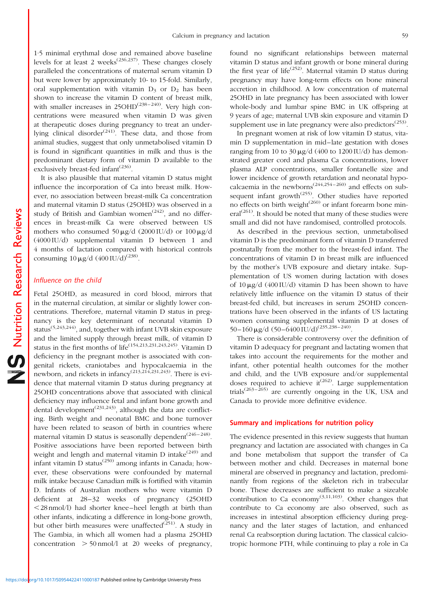1·5 minimal erythmal dose and remained above baseline levels for at least 2 weeks<sup> $(236,237)$ </sup>. These changes closely paralleled the concentrations of maternal serum vitamin D but were lower by approximately 10- to 15-fold. Similarly, oral supplementation with vitamin  $D_3$  or  $D_2$  has been shown to increase the vitamin D content of breast milk, with smaller increases in  $25OHD<sup>(238-240)</sup>$ . Very high concentrations were measured when vitamin D was given at therapeutic doses during pregnancy to treat an underlying clinical disorder<sup> $(241)$ </sup>. These data, and those from animal studies, suggest that only unmetabolised vitamin D is found in significant quantities in milk and thus is the predominant dietary form of vitamin D available to the exclusively breast-fed infant<sup>(236)</sup>.

It is also plausible that maternal vitamin D status might influence the incorporation of Ca into breast milk. However, no association between breast-milk Ca concentration and maternal vitamin D status (25OHD) was observed in a study of British and Gambian women<sup> $(242)$ </sup>, and no differences in breast-milk Ca were observed between US mothers who consumed  $50 \mu g/d$  (2000 IU/d) or  $100 \mu g/d$ (4000 IU/d) supplemental vitamin D between 1 and 4 months of lactation compared with historical controls consuming  $10 \mu g/d (400 \text{ IU}/d)^{(238)}$ .

### Influence on the child

Fetal 25OHD, as measured in cord blood, mirrors that in the maternal circulation, at similar or slightly lower concentrations. Therefore, maternal vitamin D status in pregnancy is the key determinant of neonatal vitamin D status<sup> $(5,243,244)$ </sup>, and, together with infant UVB skin exposure and the limited supply through breast milk, of vitamin D status in the first months of life<sup>(154,213,231,243,245)</sup>. Vitamin D deficiency in the pregnant mother is associated with congenital rickets, craniotabes and hypocalcaemia in the newborn, and rickets in infancy<sup>(213,214,231,243)</sup>. There is evidence that maternal vitamin D status during pregnancy at 25OHD concentrations above that associated with clinical deficiency may influence fetal and infant bone growth and dental development<sup> $(231,243)$ </sup>, although the data are conflicting. Birth weight and neonatal BMC and bone turnover have been related to season of birth in countries where maternal vitamin D status is seasonally dependent<sup> $(246-248)$ </sup>. Positive associations have been reported between birth weight and length and maternal vitamin D intake<sup>(249)</sup> and infant vitamin D status<sup>(250)</sup> among infants in Canada; however, these observations were confounded by maternal milk intake because Canadian milk is fortified with vitamin D. Infants of Australian mothers who were vitamin D deficient at 28–32 weeks of pregnancy (25OHD ,28 nmol/l) had shorter knee–heel length at birth than other infants, indicating a difference in long-bone growth, but other birth measures were unaffected<sup> $(251)$ </sup>. A study in The Gambia, in which all women had a plasma 25OHD concentration  $> 50$  nmol/l at 20 weeks of pregnancy,

found no significant relationships between maternal vitamin D status and infant growth or bone mineral during the first year of life<sup>(252)</sup>. Maternal vitamin D status during pregnancy may have long-term effects on bone mineral accretion in childhood. A low concentration of maternal 25OHD in late pregnancy has been associated with lower whole-body and lumbar spine BMC in UK offspring at 9 years of age; maternal UVB skin exposure and vitamin D supplement use in late pregnancy were also predictors $(253)$ .

In pregnant women at risk of low vitamin D status, vitamin D supplementation in mid–late gestation with doses ranging from 10 to 30  $\mu$ g/d (400 to 1200 IU/d) has demonstrated greater cord and plasma Ca concentrations, lower plasma ALP concentrations, smaller fontanelle size and lower incidence of growth retardation and neonatal hypocalcaemia in the newborns<sup> $(244,254-260)$ </sup> and effects on subsequent infant growth<sup> $(255)$ </sup>. Other studies have reported no effects on birth weight $^{(260)}$  or infant forearm bone min $eral<sup>(261)</sup>$ . It should be noted that many of these studies were small and did not have randomised, controlled protocols.

As described in the previous section, unmetabolised vitamin D is the predominant form of vitamin D transferred postnatally from the mother to the breast-fed infant. The concentrations of vitamin D in breast milk are influenced by the mother's UVB exposure and dietary intake. Supplementation of US women during lactation with doses of  $10 \mu g/d$  (400 IU/d) vitamin D has been shown to have relatively little influence on the vitamin D status of their breast-fed child, but increases in serum 25OHD concentrations have been observed in the infants of US lactating women consuming supplemental vitamin D at doses of 50–160  $\mu$ g/d (50–6400 IU/d)<sup>(235,238–240)</sup>.

There is considerable controversy over the definition of vitamin D adequacy for pregnant and lactating women that takes into account the requirements for the mother and infant, other potential health outcomes for the mother and child, and the UVB exposure and/or supplemental doses required to achieve  $it^{(262)}$ . Large supplementation trials<sup> $(263–265)$ </sup> are currently ongoing in the UK, USA and Canada to provide more definitive evidence.

#### Summary and implications for nutrition policy

The evidence presented in this review suggests that human pregnancy and lactation are associated with changes in Ca and bone metabolism that support the transfer of Ca between mother and child. Decreases in maternal bone mineral are observed in pregnancy and lactation, predominantly from regions of the skeleton rich in trabecular bone. These decreases are sufficient to make a sizeable contribution to Ca economy<sup>(3,11,103)</sup>. Other changes that contribute to Ca economy are also observed, such as increases in intestinal absorption efficiency during pregnancy and the later stages of lactation, and enhanced renal Ca reabsorption during lactation. The classical calciotropic hormone PTH, while continuing to play a role in Ca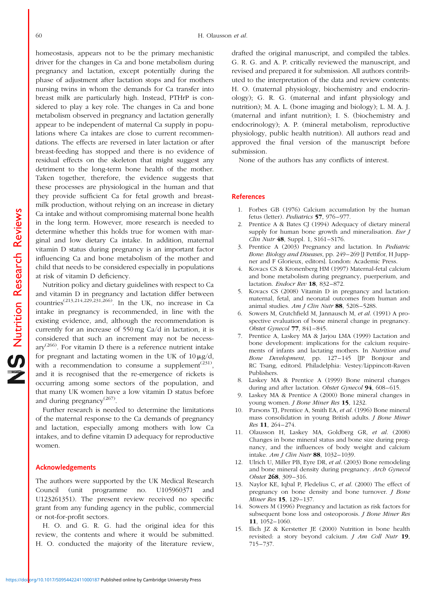homeostasis, appears not to be the primary mechanistic driver for the changes in Ca and bone metabolism during pregnancy and lactation, except potentially during the phase of adjustment after lactation stops and for mothers nursing twins in whom the demands for Ca transfer into breast milk are particularly high. Instead, PTHrP is considered to play a key role. The changes in Ca and bone metabolism observed in pregnancy and lactation generally appear to be independent of maternal Ca supply in populations where Ca intakes are close to current recommendations. The effects are reversed in later lactation or after breast-feeding has stopped and there is no evidence of residual effects on the skeleton that might suggest any detriment to the long-term bone health of the mother. Taken together, therefore, the evidence suggests that these processes are physiological in the human and that they provide sufficient Ca for fetal growth and breastmilk production, without relying on an increase in dietary Ca intake and without compromising maternal bone health in the long term. However, more research is needed to determine whether this holds true for women with marginal and low dietary Ca intake. In addition, maternal vitamin D status during pregnancy is an important factor influencing Ca and bone metabolism of the mother and child that needs to be considered especially in populations at risk of vitamin D deficiency.

Nutrition policy and dietary guidelines with respect to Ca and vitamin D in pregnancy and lactation differ between countries<sup>(213,214,229,231,266)</sup>. In the UK, no increase in Ca intake in pregnancy is recommended, in line with the existing evidence, and, although the recommendation is currently for an increase of 550 mg Ca/d in lactation, it is considered that such an increment may not be necess $ary^{(266)}$ . For vitamin D there is a reference nutrient intake for pregnant and lactating women in the UK of  $10 \mu g/d$ , with a recommendation to consume a supplement<sup> $(231)$ </sup>, and it is recognised that the re-emergence of rickets is occurring among some sectors of the population, and that many UK women have a low vitamin D status before and during pregnancy $(267)$ .

Further research is needed to determine the limitations of the maternal response to the Ca demands of pregnancy and lactation, especially among mothers with low Ca intakes, and to define vitamin D adequacy for reproductive women.

### Acknowledgements

The authors were supported by the UK Medical Research Council (unit programme no. U105960371 and U123261351). The present review received no specific grant from any funding agency in the public, commercial or not-for-profit sectors.

H. O. and G. R. G. had the original idea for this review, the contents and where it would be submitted. H. O. conducted the majority of the literature review,

drafted the original manuscript, and compiled the tables. G. R. G. and A. P. critically reviewed the manuscript, and revised and prepared it for submission. All authors contributed to the interpretation of the data and review contents: H. O. (maternal physiology, biochemistry and endocrinology); G. R. G. (maternal and infant physiology and nutrition); M. A. L. (bone imaging and biology); L. M. A. J. (maternal and infant nutrition); I. S. (biochemistry and endocrinology); A. P. (mineral metabolism, reproductive physiology, public health nutrition). All authors read and approved the final version of the manuscript before submission.

None of the authors has any conflicts of interest.

#### **References**

- 1. Forbes GB (1976) Calcium accumulation by the human fetus (letter). Pediatrics 57, 976–977.
- 2. Prentice A & Bates CJ (1994) Adequacy of dietary mineral supply for human bone growth and mineralisation. Eur J Clin Nutr 48, Suppl. 1, S161–S176.
- 3. Prentice A (2003) Pregnancy and lactation. In Pediatric Bone: Biology and Diseases, pp. 249–269 [J Pettifor, H Juppner and F Glorieux, editors]. London: Academic Press.
- 4. Kovacs CS & Kronenberg HM (1997) Maternal-fetal calcium and bone metabolism during pregnancy, puerperium, and lactation. Endocr Rev 18, 832–872.
- 5. Kovacs CS (2008) Vitamin D in pregnancy and lactation: maternal, fetal, and neonatal outcomes from human and animal studies. Am J Clin Nutr 88, 520S–528S.
- 6. Sowers M, Crutchfield M, Jannausch M, et al. (1991) A prospective evaluation of bone mineral change in pregnancy. Obstet Gynecol 77, 841–845.
- 7. Prentice A, Laskey MA & Jarjou LMA (1999) Lactation and bone development: implications for the calcium requirements of infants and lactating mothers. In Nutrition and Bone Development, pp. 127–145 [JP Bonjour and RC Tsang, editors]. Philadelphia: Vestey/Lippincott-Raven Publishers.
- 8. Laskey MA & Prentice A (1999) Bone mineral changes during and after lactation. Obstet Gynecol 94, 608–615.
- 9. Laskey MA & Prentice A (2000) Bone mineral changes in young women. *J Bone Miner Res* 15, 1232.
- 10. Parsons TJ, Prentice A, Smith EA, et al. (1996) Bone mineral mass consolidation in young British adults. J Bone Miner Res 11, 264–274.
- 11. Olausson H, Laskey MA, Goldberg GR, et al. (2008) Changes in bone mineral status and bone size during pregnancy, and the influences of body weight and calcium intake. Am J Clin Nutr 88, 1032–1039.
- 12. Ulrich U, Miller PB, Eyre DR, et al. (2003) Bone remodeling and bone mineral density during pregnancy. Arch Gynecol Obstet 268, 309–316.
- 13. Naylor KE, Iqbal P, Fledelius C, et al. (2000) The effect of pregnancy on bone density and bone turnover. J Bone Miner Res 15, 129–137.
- 14. Sowers M (1996) Pregnancy and lactation as risk factors for subsequent bone loss and osteoporosis. *J Bone Miner Res* 11, 1052–1060.
- 15. Ilich JZ & Kerstetter JE (2000) Nutrition in bone health revisited: a story beyond calcium. J Am Coll Nutr 19, 715–737.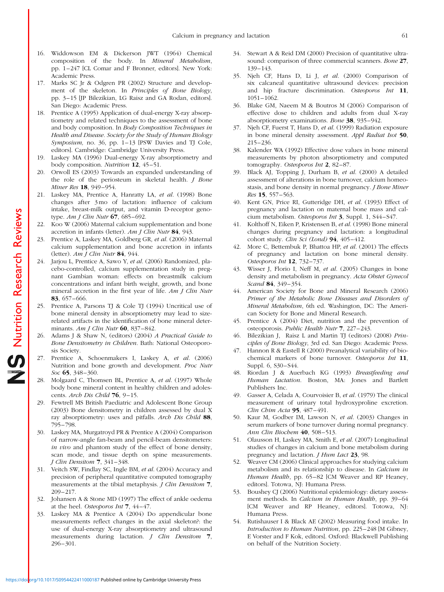- 16. Widdowson EM & Dickerson JWT (1964) Chemical composition of the body. In Mineral Metabolism, pp. 1–247 [CL Comar and F Bronner, editors]. New York: Academic Press.
- 17. Marks SC Jr & Odgren PR (2002) Structure and development of the skeleton. In Principles of Bone Biology, pp. 3–15 [JP Bilezikian, LG Raisz and GA Rodan, editors]. San Diego: Academic Press.
- 18. Prentice A (1995) Application of dual-energy X-ray absorptiometry and related techniques to the assessment of bone and body composition. In Body Composition Techniques in Health and Disease. Society for the Study of Human Biology Symposium, no. 36, pp. 1–13 [PSW Davies and TJ Cole, editors]. Cambridge: Cambridge University Press.
- 19. Laskey MA (1996) Dual-energy X-ray absorptiometry and body composition. Nutrition 12, 45–51.
- 20. Orwoll ES (2003) Towards an expanded understanding of the role of the periosteum in skeletal health. J Bone Miner Res 18, 949–954.
- 21. Laskey MA, Prentice A, Hanratty LA, et al. (1998) Bone changes after 3 mo of lactation: influence of calcium intake, breast-milk output, and vitamin D-receptor genotype. Am J Clin Nutr 67, 685-692.
- 22. Koo W (2006) Maternal calcium supplementation and bone accretion in infants (letter). Am J Clin Nutr 84, 943.
- 23. Prentice A, Laskey MA, Goldberg GR, et al. (2006) Maternal calcium supplementation and bone accretion in infants (letter). Am J Clin Nutr 84, 944.
- 24. Jarjou L, Prentice A, Sawo Y, et al. (2006) Randomized, placebo-controlled, calcium supplementation study in pregnant Gambian woman: effects on breastmilk calcium concentrations and infant birth weight, growth, and bone mineral accretion in the first year of life. Am J Clin Nutr 83, 657–666.
- 25. Prentice A, Parsons TJ & Cole TJ (1994) Uncritical use of bone mineral density in absorptiometry may lead to sizerelated artifacts in the identification of bone mineral determinants. Am J Clin Nutr  $60$ , 837–842.
- 26. Adams J & Shaw N, (editors) (2004) A Practical Guide to Bone Densitometry in Children. Bath: National Osteoporosis Society.
- 27. Prentice A, Schoenmakers I, Laskey A, et al. (2006) Nutrition and bone growth and development. Proc Nutr Soc **65**, 348-360.
- 28. Molgaard C, Thomsen BL, Prentice A, et al. (1997) Whole body bone mineral content in healthy children and adolescents. Arch Dis Child 76, 9-15.
- 29. Fewtrell MS British Paediatric and Adolescent Bone Group (2003) Bone densitometry in children assessed by dual X ray absorptiometry: uses and pitfalls. Arch Dis Child 88, 795–798.
- 30. Laskey MA, Murgatroyd PR & Prentice A (2004) Comparison of narrow-angle fan-beam and pencil-beam densitometers: in vivo and phantom study of the effect of bone density, scan mode, and tissue depth on spine measurements. J Clin Densitom 7, 341–348.
- 31. Veitch SW, Findlay SC, Ingle BM, et al. (2004) Accuracy and precision of peripheral quantitative computed tomography measurements at the tibial metaphysis. *J Clin Densitom* 7, 209–217.
- 32. Johansen A & Stone MD (1997) The effect of ankle oedema at the heel. Osteoporos Int 7, 44–47.
- 33. Laskey MA & Prentice A (2004) Do appendicular bone measurements reflect changes in the axial skeleton?: the use of dual-energy X-ray absorptiometry and ultrasound measurements during lactation. J Clin Densitom 7, 296–301.
- 34. Stewart A & Reid DM (2000) Precision of quantitative ultrasound: comparison of three commercial scanners. Bone 27, 139–143.
- 35. Njeh CF, Hans D, Li J, et al. (2000) Comparison of six calcaneal quantitative ultrasound devices: precision and hip fracture discrimination. Osteoporos Int 11, 1051–1062.
- 36. Blake GM, Naeem M & Boutros M (2006) Comparison of effective dose to children and adults from dual X-ray absorptiometry examinations. Bone 38, 935–942.
- 37. Njeh CF, Fuerst T, Hans D, et al. (1999) Radiation exposure in bone mineral density assessment. Appl Radiat Isot 50, 215–236.
- 38. Kalender WA (1992) Effective dose values in bone mineral measurements by photon absorptiometry and computed tomography. Osteoporos Int 2, 82-87.
- 39. Black AJ, Topping J, Durham B, et al. (2000) A detailed assessment of alterations in bone turnover, calcium homeostasis, and bone density in normal pregnancy. J Bone Miner Res 15, 557–563.
- 40. Kent GN, Price RI, Gutteridge DH, et al. (1993) Effect of pregnancy and lactation on maternal bone mass and calcium metabolism. Osteoporos Int 3, Suppl. 1, S44–S47.
- 41. Kolthoff N, Eiken P, Kristensen B, et al. (1998) Bone mineral changes during pregnancy and lactation: a longitudinal cohort study. Clin Sci (Lond) 94, 405–412.
- 42. More C, Bettembuk P, Bhattoa HP, et al. (2001) The effects of pregnancy and lactation on bone mineral density. Osteoporos Int 12, 732–737.
- 43. Wisser J, Florio I, Neff M, et al. (2005) Changes in bone density and metabolism in pregnancy. Acta Obstet Gynecol Scand 84, 349–354.
- 44. American Society for Bone and Mineral Research (2006) Primer of the Metabolic Bone Diseases and Disorders of Mineral Metabolism, 6th ed. Washington, DC: The American Society for Bone and Mineral Research.
- 45. Prentice A (2004) Diet, nutrition and the prevention of osteoporosis. Public Health Nutr 7, 227–243.
- 46. Bilezikian J, Raisz L and Martin TJ (editors) (2008) Principles of Bone Biology, 3rd ed. San Diego: Academic Press.
- 47. Hannon R & Eastell R (2000) Preanalytical variability of biochemical markers of bone turnover. Osteoporos Int 11, Suppl. 6, S30–S44.
- 48. Riordan J & Auerbach KG (1993) Breastfeeding and Human Lactation. Boston, MA: Jones and Bartlett Publishers Inc.
- 49. Gasser A, Celada A, Courvoisier B, et al. (1979) The clinical measurement of urinary total hydroxyproline excretion. Clin Chim Acta 95, 487–491.
- 50. Kaur M, Godber IM, Lawson N, et al. (2003) Changes in serum markers of bone turnover during normal pregnancy. Ann Clin Biochem 40, 508–513.
- 51. Olausson H, Laskey MA, Smith E, et al. (2007) Longitudinal studies of changes in calcium and bone metabolism during pregnancy and lactation. *J Hum Lact* 23, 98.
- 52. Weaver CM (2006) Clinical approaches for studying calcium metabolism and its relationship to disease. In Calcium in Human Health, pp. 65-82 [CM Weaver and RP Heaney, editors]. Totowa, NJ: Humana Press.
- 53. Boushey CJ (2006) Nutritional epidemiology: dietary assessment methods. In Calcium in Human Health, pp. 39–64 [CM Weaver and RP Heaney, editors]. Totowa, NJ: Humana Press.
- 54. Rutishauser I & Black AE (2002) Measuring food intake. In Introduction to Human Nutrition, pp. 225–248 [M Gibney, E Vorster and F Kok, editors]. Oxford: Blackwell Publishing on behalf of the Nutrition Society.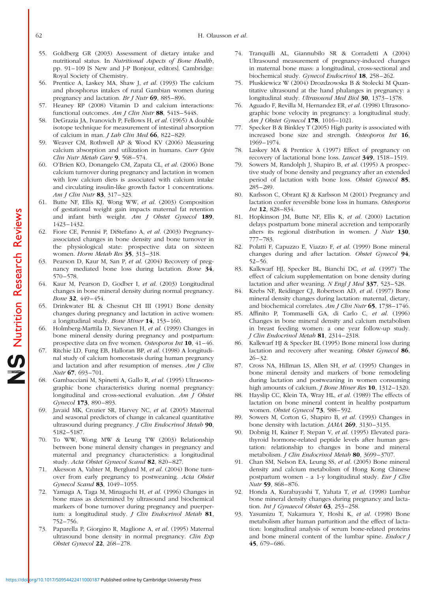- 55. Goldberg GR (2003) Assessment of dietary intake and nutritional status. In Nutritional Aspects of Bone Health, pp. 91–109 [S New and J-P Bonjour, editors]. Cambridge: Royal Society of Chemistry.
- 56. Prentice A, Laskey MA, Shaw J, et al. (1993) The calcium and phosphorus intakes of rural Gambian women during pregnancy and lactation. Br J Nutr 69, 885–896.
- 57. Heaney RP (2008) Vitamin D and calcium interactions: functional outcomes. Am J Clin Nutr 88, 541S–544S.
- 58. DeGrazia JA, Ivanovich P, Fellows H, et al. (1965) A double isotope technique for measurement of intestinal absorption of calcium in man. J Lab Clin Med 66, 822–829.
- 59. Weaver CM, Rothwell AP & Wood KV (2006) Measuring calcium absorption and utilization in humans. Curr Opin Clin Nutr Metab Care 9, 568–574.
- 60. O'Brien KO, Donangelo CM, Zapata CL, et al. (2006) Bone calcium turnover during pregnancy and lactation in women with low calcium diets is associated with calcium intake and circulating insulin-like growth factor 1 concentrations. Am J Clin Nutr 83, 317–323.
- 61. Butte NF, Ellis KJ, Wong WW, et al. (2003) Composition of gestational weight gain impacts maternal fat retention and infant birth weight. Am J Obstet Gynecol 189, 1423–1432.
- 62. Fiore CE, Pennisi P, DiStefano A, et al. (2003) Pregnancyassociated changes in bone density and bone turnover in the physiological state: prospective data on sixteen women. Horm Metab Res 35, 313–318.
- 63. Pearson D, Kaur M, San P, et al. (2004) Recovery of pregnancy mediated bone loss during lactation. Bone 34, 570–578.
- 64. Kaur M, Pearson D, Godber I, et al. (2003) Longitudinal changes in bone mineral density during normal pregnancy. Bone 32, 449–454.
- 65. Drinkwater BL & Chesnut CH III (1991) Bone density changes during pregnancy and lactation in active women: a longitudinal study. Bone Miner 14, 153–160.
- 66. Holmberg-Marttila D, Sievanen H, et al. (1999) Changes in bone mineral density during pregnancy and postpartum: prospective data on five women. Osteoporos Int 10, 41–46.
- 67. Ritchie LD, Fung EB, Halloran BP, et al. (1998) A longitudinal study of calcium homeostasis during human pregnancy and lactation and after resumption of menses. Am J Clin Nutr **67**, 693-701.
- 68. Gambacciani M, Spinetti A, Gallo R, et al. (1995) Ultrasonographic bone characteristics during normal pregnancy: longitudinal and cross-sectional evaluation. Am J Obstet Gynecol 173, 890–893.
- 69. Javaid MK, Crozier SR, Harvey NC, et al. (2005) Maternal and seasonal predictors of change in calcaneal quantitative ultrasound during pregnancy. J Clin Endocrinol Metab 90, 5182–5187.
- 70. To WW, Wong MW & Leung TW (2003) Relationship between bone mineral density changes in pregnancy and maternal and pregnancy characteristics: a longitudinal study. Acta Obstet Gynecol Scand 82, 820–827.
- 71. Akesson A, Vahter M, Berglund M, et al. (2004) Bone turnover from early pregnancy to postweaning. Acta Obstet Gynecol Scand 83, 1049–1055.
- 72. Yamaga A, Taga M, Minaguchi H, et al. (1996) Changes in bone mass as determined by ultrasound and biochemical markers of bone turnover during pregnancy and puerperium: a longitudinal study. J Clin Endocrinol Metab 81, 752–756.
- 73. Paparella P, Giorgino R, Maglione A, et al. (1995) Maternal ultrasound bone density in normal pregnancy. Clin Exp Obstet Gynecol 22, 268–278.
- 74. Tranquilli AL, Giannubilo SR & Corradetti A (2004) Ultrasound measurement of pregnancy-induced changes in maternal bone mass: a longitudinal, cross-sectional and biochemical study. Gynecol Endocrinol 18, 258–262.
- 75. Pluskiewicz W (2004) Drozdzowska B & Stolecki M Quantitative ultrasound at the hand phalanges in pregnancy: a longitudinal study. Ultrasound Med Biol 30, 1373-1378.
- 76. Aguado F, Revilla M, Hernandez ER, et al. (1998) Ultrasonographic bone velocity in pregnancy: a longitudinal study. Am J Obstet Gynecol 178, 1016–1021.
- 77. Specker B & Binkley T (2005) High parity is associated with increased bone size and strength. Osteoporos Int 16, 1969–1974.
- 78. Laskey MA & Prentice A (1997) Effect of pregnancy on recovery of lactational bone loss. Lancet 349, 1518–1519.
- 79. Sowers M, Randolph J, Shapiro B, et al. (1995) A prospective study of bone density and pregnancy after an extended period of lactation with bone loss. Obstet Gynecol 85, 285–289.
- 80. Karlsson C, Obrant KJ & Karlsson M (2001) Pregnancy and lactation confer reversible bone loss in humans. Osteoporos Int 12, 828–834.
- 81. Hopkinson JM, Butte NF, Ellis K, et al. (2000) Lactation delays postpartum bone mineral accretion and temporarily alters its regional distribution in women. J Nutr 130, 777–783.
- 82. Polatti F, Capuzzo E, Viazzo F, et al. (1999) Bone mineral changes during and after lactation. Obstet Gynecol 94, 52–56.
- 83. Kalkwarf HJ, Specker BL, Bianchi DC, et al. (1997) The effect of calcium supplementation on bone density during lactation and after weaning. N Engl J Med 337, 523–528.
- 84. Krebs NF, Reidinger CJ, Robertson AD, et al. (1997) Bone mineral density changes during lactation: maternal, dietary, and biochemical correlates. Am J Clin Nutr 65, 1738–1746.
- 85. Affinito P, Tommaselli GA, di Carlo C, et al. (1996) Changes in bone mineral density and calcium metabolism in breast feeding women: a one year follow-up study. J Clin Endocrinol Metab 81, 2314–2318.
- 86. Kalkwarf HJ & Specker BL (1995) Bone mineral loss during lactation and recovery after weaning. Obstet Gynecol 86, 26–32.
- 87. Cross NA, Hillman LS, Allen SH, et al. (1995) Changes in bone mineral density and markers of bone remodeling during lactation and postweaning in women consuming high amounts of calcium. *J Bone Miner Res* **10**, 1312–1320.
- 88. Hayslip CC, Klein TA, Wray HL, et al. (1989) The effects of lactation on bone mineral content in healthy postpartum women. Obstet Gynecol 73, 588–592.
- 89. Sowers M, Corton G, Shapiro B, et al. (1993) Changes in bone density with lactation. JAMA 269, 3130–3135.
- 90. Dobnig H, Kainer F, Stepan V, et al. (1995) Elevated parathyroid hormone-related peptide levels after human gestation: relationship to changes in bone and mineral metabolism. J Clin Endocrinol Metab 80, 3699–3707.
- 91. Chan SM, Nelson EA, Leung SS, et al. (2005) Bone mineral density and calcium metabolism of Hong Kong Chinese postpartum women - a 1-y longitudinal study. Eur J Clin Nutr 59, 868–876.
- 92. Honda A, Kurabayashi T, Yahata T, et al. (1998) Lumbar bone mineral density changes during pregnancy and lactation. Int J Gynaecol Obstet  $63$ ,  $253-258$ .
- 93. Yasumizu T, Nakamura Y, Hoshi K, et al. (1998) Bone metabolism after human parturition and the effect of lactation: longitudinal analysis of serum bone-related proteins and bone mineral content of the lumbar spine. Endocr J 45, 679–686.

Nutrition Research Reviews

NS Nutrition Research Reviews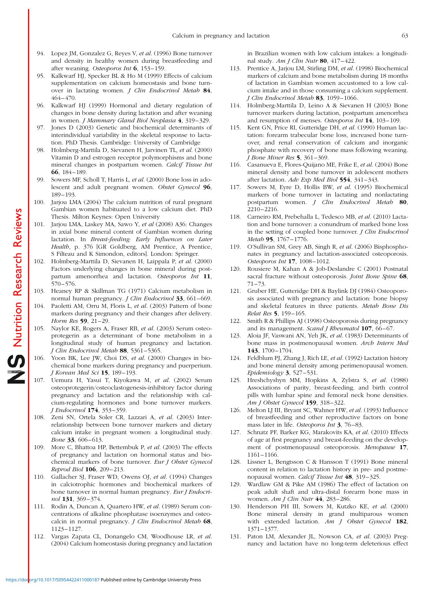- 94. Lopez JM, Gonzalez G, Reyes V, et al. (1996) Bone turnover and density in healthy women during breastfeeding and after weaning. Osteoporos Int 6, 153–159.
- 95. Kalkwarf HJ, Specker BL & Ho M (1999) Effects of calcium supplementation on calcium homeostasis and bone turnover in lactating women. *J Clin Endocrinol Metab* 84, 464–470.
- 96. Kalkwarf HJ (1999) Hormonal and dietary regulation of changes in bone density during lactation and after weaning in women. J Mammary Gland Biol Neoplasia 4, 319–329.
- 97. Jones D (2003) Genetic and biochemical determinants of interindividual variability in the skeletal response to lactation. PhD Thesis. Cambridge: University of Cambridge
- 98. Holmberg-Marttila D, Sievanen H, Jarvinen TL, et al. (2000) Vitamin D and estrogen receptor polymorphisms and bone mineral changes in postpartum women. Calcif Tissue Int 66, 184–189.
- 99. Sowers MF, Scholl T, Harris L, et al. (2000) Bone loss in adolescent and adult pregnant women. Obstet Gynecol 96, 189–193.
- 100. Jarjou LMA (2004) The calcium nutrition of rural pregnant Gambian women habituated to a low calcium diet. PhD Thesis. Milton Keynes: Open University
- 101. Jarjou LMA, Laskey MA, Sawo Y, et al (2008) A36: Changes in axial bone mineral content of Gambian women during lactation. In Breast-feeding: Early Influences on Later Health, p. 376 [GR Goldberg, AM Prentice, A Prentice, S Filteau and K Simondon, editors]. London: Springer.
- 102. Holmberg-Marttila D, Sievanen H, Laippala P, et al. (2000) Factors underlying changes in bone mineral during postpartum amenorrhea and lactation. Osteoporos Int 11, 570–576.
- 103. Heaney RP & Skillman TG (1971) Calcium metabolism in normal human pregnancy. J Clin Endocrinol 33, 661–669.
- 104. Paoletti AM, Orru M, Floris L, et al. (2003) Pattern of bone markers during pregnancy and their changes after delivery. Horm Res 59, 21–29.
- 105. Naylor KE, Rogers A, Fraser RB, et al. (2003) Serum osteoprotegerin as a determinant of bone metabolism in a longitudinal study of human pregnancy and lactation. J Clin Endocrinol Metab 88, 5361–5365.
- 106. Yoon BK, Lee JW, Choi DS, et al. (2000) Changes in biochemical bone markers during pregnancy and puerperium. J Korean Med Sci 15, 189–193.
- 107. Uemura H, Yasui T, Kiyokawa M, et al. (2002) Serum osteoprotegerin/osteoclastogenesis-inhibitory factor during pregnancy and lactation and the relationship with calcium-regulating hormones and bone turnover markers. J Endocrinol 174, 353–359.
- 108. Zeni SN, Ortela Soler CR, Lazzari A, et al. (2003) Interrelationship between bone turnover markers and dietary calcium intake in pregnant women: a longitudinal study. Bone 33, 606–613.
- 109. More C, Bhattoa HP, Bettembuk P, et al. (2003) The effects of pregnancy and lactation on hormonal status and biochemical markers of bone turnover. Eur J Obstet Gynecol Reprod Biol 106, 209–213.
- 110. Gallacher SJ, Fraser WD, Owens OJ, et al. (1994) Changes in calciotrophic hormones and biochemical markers of bone turnover in normal human pregnancy. Eur J Endocrinol 131, 369–374.
- 111. Rodin A, Duncan A, Quartero HW, et al. (1989) Serum concentrations of alkaline phosphatase isoenzymes and osteocalcin in normal pregnancy.  $J$  Clin Endocrinol Metab  $68$ , 1123–1127.
- 112. Vargas Zapata CL, Donangelo CM, Woodhouse LR, et al. (2004) Calcium homeostasis during pregnancy and lactation

in Brazilian women with low calcium intakes: a longitudinal study. Am J Clin Nutr  $80$ , 417-422.

- 113. Prentice A, Jarjou LM, Stirling DM, et al. (1998) Biochemical markers of calcium and bone metabolism during 18 months of lactation in Gambian women accustomed to a low calcium intake and in those consuming a calcium supplement. J Clin Endocrinol Metab 83, 1059–1066.
- 114. Holmberg-Marttila D, Leino A & Sievanen H (2003) Bone turnover markers during lactation, postpartum amenorrhea and resumption of menses. Osteoporos Int 14, 103–109.
- 115. Kent GN, Price RI, Gutteridge DH, et al. (1990) Human lactation: forearm trabecular bone loss, increased bone turnover, and renal conservation of calcium and inorganic phosphate with recovery of bone mass following weaning. J Bone Miner Res 5, 361–369.
- 116. Casanueva E, Flores-Quijano ME, Frike E, et al. (2004) Bone mineral density and bone turnover in adolescent mothers after lactation. Adv Exp Med Biol 554, 341–343.
- 117. Sowers M, Eyre D, Hollis BW, et al. (1995) Biochemical markers of bone turnover in lactating and nonlactating postpartum women. J Clin Endocrinol Metab 80, 2210–2216.
- 118. Carneiro RM, Prebehalla L, Tedesco MB, et al. (2010) Lactation and bone turnover: a conundrum of marked bone loss in the setting of coupled bone turnover. J Clin Endocrinol Metab 95, 1767–1776.
- 119. O'Sullivan SM, Grey AB, Singh R, et al. (2006) Bisphosphonates in pregnancy and lactation-associated osteoporosis. Osteoporos Int 17, 1008–1012.
- 120. Rousiere M, Kahan A & Job-Deslandre C (2001) Postnatal sacral fracture without osteoporosis. Joint Bone Spine 68, 71–73.
- 121. Gruber HE, Gutteridge DH & Baylink DJ (1984) Osteoporosis associated with pregnancy and lactation: bone biopsy and skeletal features in three patients. Metab Bone Dis Relat Res 5, 159–165.
- 122. Smith R & Phillips AJ (1998) Osteoporosis during pregnancy and its management. Scand J Rheumatol 107, 66-67.
- 123. Aloia JF, Vaswani AN, Yeh JK, et al. (1983) Determinants of bone mass in postmenopausal women. Arch Intern Med 143, 1700–1704.
- 124. Feldblum PJ, Zhang J, Rich LE, et al. (1992) Lactation history and bone mineral density among perimenopausal women. Epidemiology  $3, 527-531$ .
- 125. Hreshchyshyn MM, Hopkins A, Zylstra S, et al. (1988) Associations of parity, breast-feeding, and birth control pills with lumbar spine and femoral neck bone densities. Am J Obstet Gynecol 159, 318–322.
- 126. Melton LJ III, Bryant SC, Wahner HW, et al. (1993) Influence of breastfeeding and other reproductive factors on bone mass later in life. Osteoporos Int 3, 76-83.
- 127. Schnatz PF, Barker KG, Marakovits KA, et al. (2010) Effects of age at first pregnancy and breast-feeding on the development of postmenopausal osteoporosis. Menopause 17, 1161–1166.
- 128. Lissner L, Bengtsson C & Hansson T (1991) Bone mineral content in relation to lactation history in pre- and postmenopausal women. Calcif Tissue Int 48, 319–325.
- 129. Wardlaw GM & Pike AM (1986) The effect of lactation on peak adult shaft and ultra-distal forearm bone mass in women. Am J Clin Nutr 44, 283–286.
- 130. Henderson PH III, Sowers M, Kutzko KE, et al. (2000) Bone mineral density in grand multiparous women with extended lactation. Am *J* Obstet Gynecol 182, 1371–1377.
- 131. Paton LM, Alexander JL, Nowson CA, et al. (2003) Pregnancy and lactation have no long-term deleterious effect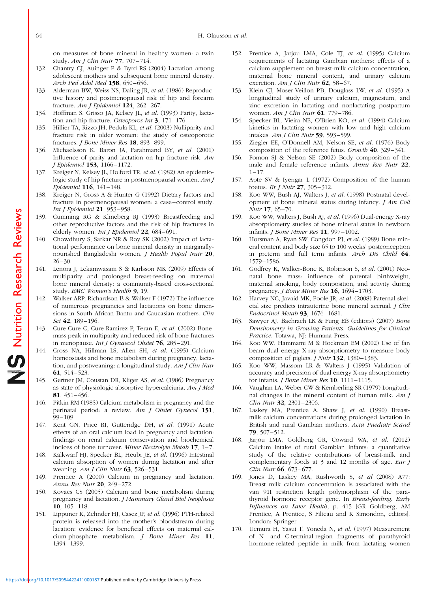on measures of bone mineral in healthy women: a twin study. Am J Clin Nutr 77, 707–714.

- 132. Chantry CJ, Auinger P & Byrd RS (2004) Lactation among adolescent mothers and subsequent bone mineral density. Arch Ped Adol Med 158, 650–656.
- 133. Alderman BW, Weiss NS, Daling JR, et al. (1986) Reproductive history and postmenopausal risk of hip and forearm fracture. Am J Epidemiol  $124$ ,  $262-267$ .
- 134. Hoffman S, Grisso JA, Kelsey JL, et al. (1993) Parity, lactation and hip fracture. Osteoporos Int 3, 171–176.
- 135. Hillier TA, Rizzo JH, Pedula KL, et al. (2003) Nulliparity and fracture risk in older women: the study of osteoporotic fractures. *J Bone Miner Res* 18, 893-899.
- 136. Michaelsson K, Baron JA, Farahmand BY, et al. (2001) Influence of parity and lactation on hip fracture risk. Am J Epidemiol 153, 1166–1172.
- 137. Kreiger N, Kelsey JL, Holford TR, et al. (1982) An epidemiologic study of hip fracture in postmenopausal women. Am J Epidemiol 116, 141–148.
- 138. Kreiger N, Gross A & Hunter G (1992) Dietary factors and fracture in postmenopausal women: a case–control study. Int J Epidemiol 21, 953–958.
- 139. Cumming RG & Klineberg RJ (1993) Breastfeeding and other reproductive factors and the risk of hip fractures in elderly women. Int J Epidemiol 22, 684-691.
- 140. Chowdhury S, Sarkar NR & Roy SK (2002) Impact of lactational performance on bone mineral density in marginallynourished Bangladeshi women. J Health Popul Nutr 20, 26–30.
- 141. Lenora J, Lekamwasam S & Karlsson MK (2009) Effects of multiparity and prolonged breast-feeding on maternal bone mineral density: a community-based cross-sectional study. BMC Women's Health 9, 19.
- 142. Walker ARP, Richardson B & Walker F (1972) The influence of numerous pregnancies and lactations on bone dimensions in South African Bantu and Caucasian mothers. Clin Sci 42, 189-196.
- 143. Cure-Cure C, Cure-Ramirez P, Teran E, et al. (2002) Bonemass peak in multiparity and reduced risk of bone-fractures in menopause. Int J Gynaecol Obstet 76, 285–291.
- 144. Cross NA, Hillman LS, Allen SH, et al. (1995) Calcium homeostasis and bone metabolism during pregnancy, lactation, and postweaning: a longitudinal study. Am J Clin Nutr 61, 514–523.
- 145. Gertner JM, Coustan DR, Kliger AS, et al. (1986) Pregnancy as state of physiologic absorptive hypercalciuria. Am J Med 81, 451–456.
- 146. Pitkin RM (1985) Calcium metabolism in pregnancy and the perinatal period: a review. Am J Obstet Gynecol 151, 99–109.
- 147. Kent GN, Price RI, Gutteridge DH, et al. (1991) Acute effects of an oral calcium load in pregnancy and lactation: findings on renal calcium conservation and biochemical indices of bone turnover. Miner Electrolyte Metab 17, 1–7.
- 148. Kalkwarf HJ, Specker BL, Heubi JE, et al. (1996) Intestinal calcium absorption of women during lactation and after weaning. Am J Clin Nutr **63**, 526–531.
- 149. Prentice A (2000) Calcium in pregnancy and lactation. Annu Rev Nutr 20, 249–272.
- 150. Kovacs CS (2005) Calcium and bone metabolism during pregnancy and lactation. J Mammary Gland Biol Neoplasia 10, 105–118.
- 151. Lippuner K, Zehnder HJ, Casez JP, et al. (1996) PTH-related protein is released into the mother's bloodstream during lacation: evidence for beneficial effects on maternal calcium-phosphate metabolism. J Bone Miner Res 11, 1394–1399.
- 152. Prentice A, Jariou LMA, Cole TI, et al. (1995) Calcium requirements of lactating Gambian mothers: effects of a calcium supplement on breast-milk calcium concentration, maternal bone mineral content, and urinary calcium excretion. Am J Clin Nutr 62, 58-67.
- 153. Klein CJ, Moser-Veillon PB, Douglass LW, et al. (1995) A longitudinal study of urinary calcium, magnesium, and zinc excretion in lactating and nonlactating postpartum women. Am J Clin Nutr 61, 779-786.
- 154. Specker BL, Vieira NE, O'Brien KO, et al. (1994) Calcium kinetics in lactating women with low and high calcium intakes. Am J Clin Nutr 59, 593–599.
- 155. Ziegler EE, O'Donnell AM, Nelson SE, et al. (1976) Body composition of the reference fetus. Growth 40, 329–341.
- 156. Fomon SJ & Nelson SE (2002) Body composition of the male and female reference infants. Annu Rev Nutr 22,  $1 - 17$
- 157. Apte SV & Iyengar L (1972) Composition of the human foetus. Br J Nutr 27, 305–312.
- 158. Koo WW, Bush AJ, Walters J, et al. (1998) Postnatal development of bone mineral status during infancy. J Am Coll Nutr 17, 65–70.
- 159. Koo WW, Walters J, Bush AJ, et al. (1996) Dual-energy X-ray absorptiometry studies of bone mineral status in newborn infants. J Bone Miner Res 11, 997–1002.
- 160. Horsman A, Ryan SW, Congdon PJ, et al. (1989) Bone mineral content and body size 65 to 100 weeks' postconception in preterm and full term infants. Arch Dis Child 64, 1579–1586.
- 161. Godfrey K, Walker-Bone K, Robinson S, et al. (2001) Neonatal bone mass: influence of parental birthweight, maternal smoking, body composition, and activity during pregnancy. J Bone Miner Res 16, 1694–1703.
- 162. Harvey NC, Javaid MK, Poole JR, et al. (2008) Paternal skeletal size predicts intrauterine bone mineral accrual. J Clin Endocrinol Metab 93, 1676–1681.
- 163. Sawyer AJ, Bachrach LK & Fung EB (editors) (2007) Bone Densitometry in Growing Patients. Guidelines for Clinical Practice. Totawa, NI: Humana Press.
- 164. Koo WW, Hammami M & Hockman EM (2002) Use of fan beam dual energy X-ray absorptiometry to measure body composition of piglets. J Nutr 132, 1380–1383.
- 165. Koo WW, Massom LR & Walters J (1995) Validation of accuracy and precision of dual energy X-ray absorptiometry for infants. *J Bone Miner Res* **10**, 1111-1115.
- 166. Vaughan LA, Weber CW & Kemberling SR (1979) Longitudinal changes in the mineral content of human milk.  $Am J$ Clin Nutr 32, 2301–2306.
- 167. Laskey MA, Prentice A, Shaw J, et al. (1990) Breastmilk calcium concentrations during prolonged lactation in British and rural Gambian mothers. Acta Paediatr Scand 79, 507–512.
- 168. Jarjou LMA, Goldberg GR, Coward WA, et al. (2012) Calcium intake of rural Gambian infants: a quantitative study of the relative contributions of breast-milk and complementary foods at 3 and 12 months of age. Eur J Clin Nutr 66, 673–677.
- 169. Jones D, Laskey MA, Rushworth S, et al (2008) A77: Breast milk calcium concentration is associated with the van 91I restriction length polymorphism of the parathyroid hormone receptor gene. In Breast-feeding: Early Influences on Later Health, p. 415 [GR Goldberg, AM Prentice, A Prentice, S Filteau and K Simondon, editors]. London: Springer.
- 170. Uemura H, Yasui T, Yoneda N, et al. (1997) Measurement of N- and C-terminal-region fragments of parathyroid hormone-related peptide in milk from lactating women

Nutrition Research Reviews

NS Nutrition Research Reviews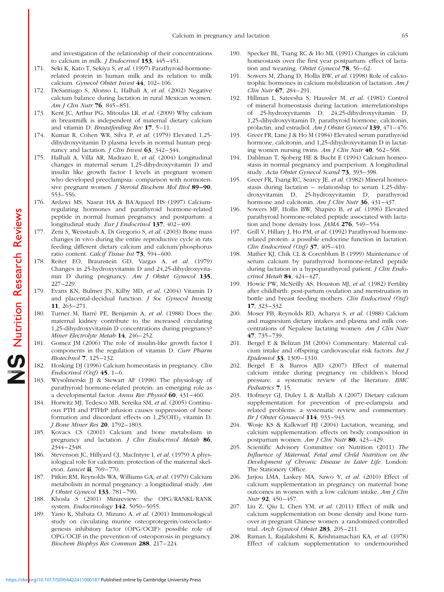and investigation of the relationship of their concentrations to calcium in milk. *J Endocrinol* 153, 445-451.

- 171. Seki K, Kato T, Sekiya S, et al. (1997) Parathyroid-hormonerelated protein in human milk and its relation to milk calcium. Gynecol Obstet Invest 44, 102–106.
- 172. DeSantiago S, Alonso L, Halhali A, et al. (2002) Negative calcium balance during lactation in rural Mexican women. Am J Clin Nutr 76, 845–851.
- 173. Kent JC, Arthur PG, Mitoulas LR, et al. (2009) Why calcium in breastmilk is independent of maternal dietary calcium and vitamin D. Breastfeeding Rev 17, 5–11.
- 174. Kumar R, Cohen WR, Silva P, et al. (1979) Elevated 1,25 dihydroxyvitamin D plasma levels in normal human pregnancy and lactation. *J Clin Invest* 63, 342–344.
- 175. Halhali A, Villa AR, Madrazo E, et al. (2004) Longitudinal changes in maternal serum 1,25-dihydroxyvitamin D and insulin like growth factor I levels in pregnant women who developed preeclampsia: comparison with normotensive pregnant women. *J Steroid Biochem Mol Biol* 89-90, 553–556.
- 176. Ardawi MS, Nasrat HA & BA'Aqueel HS (1997) Calciumregulating hormones and parathyroid hormone-related peptide in normal human pregnancy and postpartum: a longitudinal study. Eur J Endocrinol 137, 402-409.
- 177. Zeni S, Weisstaub A, Di Gregorio S, et al. (2003) Bone mass changes in vivo during the entire reproductive cycle in rats feeding different dietary calcium and calcium/phosphorus ratio content. Calcif Tissue Int 73, 594–600.
- 178. Reiter EO, Braunstein GD, Vargas A, et al. (1979) Changes in 25-hydroxyvitamin D and 24,25-dihydroxyvitamin D during pregnancy. Am J Obstet Gynecol 135, 227–229.
- 179. Evans KN, Bulmer JN, Kilby MD, et al. (2004) Vitamin D and placental-decidual function. J Soc Gynecol Investig 11, 263–271.
- 180. Turner M, Barré PE, Benjamin A, et al. (1988) Does the maternal kidney contribute to the increased circulating 1,25-dihydroxyvitamin D concentrations during pregnancy? Miner Electrolyte Metab 14, 246–252.
- 181. Gomez JM (2006) The role of insulin-like growth factor I components in the regulation of vitamin D. Curr Pharm Biotechnol 7, 125–132.
- 182. Hosking DJ (1996) Calcium homeostasis in pregnancy. Clin Endocrinol (Oxf)  $45, 1-6$ .
- 183. Wysolmerski JJ & Stewart AF (1998) The physiology of parathyroid hormone-related protein: an emerging role as a developmental factor. Annu Rev Physiol 60, 431–460.
- 184. Horwitz MJ, Tedesco MB, Sereika SM, et al. (2005) Continuous PTH and PTHrP infusion causes suppression of bone formation and discordant effects on  $1,25(OH)$ <sub>2</sub> vitamin D. J Bone Miner Res 20, 1792–1803.
- 185. Kovacs CS (2001) Calcium and bone metabolism in pregnancy and lactation. *J Clin Endocrinol Metab* 86, 2344–2348.
- 186. Stevenson JC, Hillyard CJ, MacIntyre I, et al. (1979) A physiological role for calcitonin: protection of the maternal skeleton. *Lancet* ii, 769-770.
- 187. Pitkin RM, Reynolds WA, Williams GA, et al. (1979) Calcium metabolism in normal pregnancy: a longitudinal study. Am J Obstet Gynecol 133, 781–790.
- 188. Khosla S (2001) Minireview: the OPG/RANKL/RANK system. Endocrinology 142, 5050-5055.
- 189. Yano K, Shibata O, Mizuno A, et al. (2001) Immunological study on circulating murine osteoprotegerin/osteoclastogenesis inhibitory factor (OPG/OCIF): possible role of OPG/OCIF in the prevention of osteoporosis in pregnancy. Biochem Biophys Res Commun 288, 217–224.
- 190. Specker BL, Tsang RC & Ho ML (1991) Changes in calcium homeostasis over the first year postpartum: effect of lactation and weaning. Obstet Gynecol 78, 56–62.
- 191. Sowers M, Zhang D, Hollis BW, et al. (1998) Role of calciotrophic hormones in calcium mobilization of lactation. Am J Clin Nutr 67, 284–291.
- 192. Hillman L, Sateesha S, Haussler M, et al. (1981) Control of mineral homeostasis during lactation: interrelationships of 25-hydroxyvitamin D, 24,25-dihydroxyvitamin D, 1,25-dihydroxyvitamin D, parathyroid hormone, calcitonin, prolactin, and estradiol. Am J Obstet Gynecol 139, 471–476.
- 193. Greer FR, Lane J & Ho M (1984) Elevated serum parathyroid hormone, calcitonin, and 1,25-dihydroxyvitamin D in lactating women nursing twins. Am J Clin Nutr 40, 562–568.
- 194. Dahlman T, Sjoberg HE & Bucht E (1994) Calcium homeostasis in normal pregnancy and puerperium. A longitudinal study. Acta Obstet Gynecol Scand 73, 393–398.
- 195. Greer FR, Tsang RC, Searcy JE, et al. (1982) Mineral homeostasis during lactation – relationship to serum 1,25-dihydroxyvitamin D, 25-hydroxyvitamin D, parathyroid hormone and calcitonin. Am J Clin Nutr 36, 431-437.
- 196. Sowers MF, Hollis BW, Shapiro B, et al. (1996) Elevated parathyroid hormone-related peptide associated with lactation and bone density loss. JAMA 276, 549–554.
- 197. Grill V, Hillary J, Ho PM, et al. (1992) Parathyroid hormonerelated protein: a possible endocrine function in lactation. Clin Endocrinol (Oxf)  $37, 405-410$ .
- 198. Mather KJ, Chik CL & Corenblum B (1999) Maintenance of serum calcium by parathyroid hormone-related peptide during lactation in a hypoparathyroid patient. J Clin Endocrinol Metab 84, 424–427.
- 199. Howie PW, McNeilly AS, Houston MJ, et al. (1982) Fertility after childbirth: post-partum ovulation and menstruation in bottle and breast feeding mothers. Clin Endocrinol (Oxf) 17, 323–332.
- 200. Moser PB, Reynolds RD, Acharya S, et al. (1988) Calcium and magnesium dietary intakes and plasma and milk concentrations of Nepalese lactating women. Am J Clin Nutr 47, 735–739.
- 201. Bergel E & Belizan JM (2004) Commentary: Maternal calcium intake and offspring cardiovascular risk factors. Int J Epidemiol 33, 1309–1310.
- 202. Bergel E & Barros AJD (2007) Effect of maternal calcium intake during pregnancy on children's blood pressure: a systematic review of the literature. BMC Pediatrics 7, 15.
- 203. Hofmeyr GJ, Duley L & Atallah A (2007) Dietary calcium supplementation for prevention of pre-eclampsia and related problems: a systematic review and commentary. Br J Obstet Gynaecol 114, 933–943.
- 204. Wosje KS & Kalkwarf HJ (2004) Lactation, weaning, and calcium supplementation: effects on body composition in postpartum women. Am J Clin Nutr 80, 423–429.
- 205. Scientific Advisory Committee on Nutrition (2011) The Influence of Maternal, Fetal and Child Nutrition on the Development of Chronic Disease in Later Life. London: The Stationery Office.
- 206. Jarjou LMA, Laskey MA, Sawo Y, et al. (2010) Effect of calcium supplementation in pregnancy on maternal bone outcomes in women with a low calcium intake. Am J Clin Nutr 92, 450–457.
- 207. Liu Z, Qiu L, Chen YM, et al. (2011) Effect of milk and calcium supplementation on bone density and bone turnover in pregnant Chinese women: a randomized controlled trial. Arch Gynecol Obstet 283, 205-211.
- 208. Raman L, Rajalakshmi K, Krishnamachari KA, et al. (1978) Effect of calcium supplementation to undernourished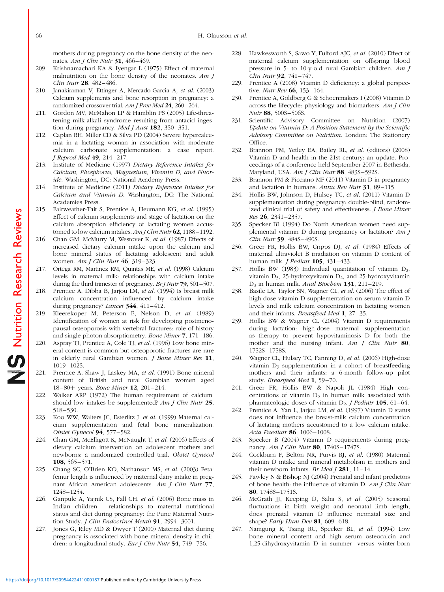mothers during pregnancy on the bone density of the neonates. Am J Clin Nutr 31, 466-469.

- 209. Krishnamachari KA & Iyengar L (1975) Effect of maternal malnutrition on the bone density of the neonates. Am  $J$ Clin Nutr 28, 482–486.
- 210. Janakiraman V, Ettinger A, Mercado-Garcia A, et al. (2003) Calcium supplements and bone resorption in pregnancy: a randomized crossover trial. Am J Prev Med 24, 260–264.
- 211. Gordon MV, McMahon LP & Hamblin PS (2005) Life-threatening milk-alkali syndrome resulting from antacid ingestion during pregnancy. Med J Aust 182, 350-351.
- 212. Caplan RH, Miller CD & Silva PD (2004) Severe hypercalcemia in a lactating woman in association with moderate calcium carbonate supplementation: a case report. J Reprod Med 49, 214–217.
- 213. Institute of Medicine (1997) Dietary Reference Intakes for Calcium, Phosphorus, Magnesium, Vitamin D, and Fluoride. Washington, DC: National Academy Press.
- 214. Institute of Medicine (2011) Dietary Reference Intakes for Calcium and Vitamin D. Washington, DC: The National Academies Press.
- 215. Fairweather-Tait S, Prentice A, Heumann KG, et al. (1995) Effect of calcium supplements and stage of lactation on the calcium absorption efficiency of lactating women accustomed to low calcium intakes. Am J Clin Nutr 62, 1188-1192.
- 216. Chan GM, McMurry M, Westover K, et al. (1987) Effects of increased dietary calcium intake upon the calcium and bone mineral status of lactating adolescent and adult women. Am J Clin Nutr 46, 319-323.
- 217. Ortega RM, Martinez RM, Quintas ME, et al. (1998) Calcium levels in maternal milk: relationships with calcium intake during the third trimester of pregnancy. Br J Nutr 79, 501–507.
- 218. Prentice A, Dibba B, Jarjou LM, et al. (1994) Is breast milk calcium concentration influenced by calcium intake during pregnancy? Lancet 344, 411-412.
- 219. Kleerekoper M, Peterson E, Nelson D, et al. (1989) Identification of women at risk for developing postmenopausal osteoporosis with vertebral fractures: role of history and single photon absorptiometry. Bone Miner 7, 171–186.
- 220. Aspray TJ, Prentice A, Cole TJ, et al. (1996) Low bone mineral content is common but osteoporotic fractures are rare in elderly rural Gambian women. J Bone Miner Res 11, 1019–1025.
- 221. Prentice A, Shaw J, Laskey MA, et al. (1991) Bone mineral content of British and rural Gambian women aged 18–80+ years. Bone Miner 12, 201–214.
- 222. Walker ARP (1972) The human requirement of calcium: should low intakes be supplemented?  $Am J Clin Nutr$  25, 518–530.
- 223. Koo WW, Walters JC, Esterlitz J, et al. (1999) Maternal calcium supplementation and fetal bone mineralization. Obstet Gynecol 94, 577–582.
- 224. Chan GM, McElligott K, McNaught T, et al. (2006) Effects of dietary calcium intervention on adolescent mothers and newborns: a randomized controlled trial. Obstet Gynecol 108, 565–571.
- 225. Chang SC, O'Brien KO, Nathanson MS, et al. (2003) Fetal femur length is influenced by maternal dairy intake in pregnant African American adolescents. Am J Clin Nutr 77, 1248–1254.
- 226. Ganpule A, Yajnik CS, Fall CH, et al. (2006) Bone mass in Indian children - relationships to maternal nutritional status and diet during pregnancy: the Pune Maternal Nutrition Study. J Clin Endocrinol Metab 91, 2994-3001.
- 227. Jones G, Riley MD & Dwyer T (2000) Maternal diet during pregnancy is associated with bone mineral density in children: a longitudinal study. *Eur J Clin Nutr* 54, 749–756.
- 228. Hawkesworth S, Sawo Y, Fulford AJC, et al. (2010) Effect of maternal calcium supplementation on offspring blood pressure in 5- to 10-y-old rural Gambian children. Am J Clin Nutr 92, 741–747.
- 229. Prentice A (2008) Vitamin D deficiency: a global perspective. Nutr Rev 66, 153-164.
- 230. Prentice A, Goldberg G & Schoenmakers I (2008) Vitamin D across the lifecycle: physiology and biomarkers. Am J Clin Nutr 88, 500S–506S.
- 231. Scientific Advisory Committee on Nutrition (2007) Update on Vitamin D: A Position Statement by the Scientific Advisory Committee on Nutrition. London: The Stationery Office.
- 232. Brannon PM, Yetley EA, Bailey RL, et al. (editors) (2008) Vitamin D and health in the 21st century: an update. Proceedings of a conference held September 2007 in Bethesda, Maryland, USA. Am J Clin Nutr 88, 483S-592S.
- 233. Brannon PM & Picciano MF (2011) Vitamin D in pregnancy and lactation in humans. Annu Rev Nutr 31, 89–115.
- 234. Hollis BW, Johnson D, Hulsey TC, et al. (2011) Vitamin D supplementation during pregnancy: double-blind, randomized clinical trial of safety and effectiveness. *J Bone Miner* Res 26, 2341–2357.
- 235. Specker BL (1994) Do North American women need supplemental vitamin D during pregnancy or lactation? Am J Clin Nutr 59, 484S–490S.
- 236. Greer FR, Hollis BW, Cripps DJ, et al. (1984) Effects of maternal ultraviolet B irradiation on vitamin D content of human milk. J Pediatr 105, 431–433.
- 237. Hollis BW (1983) Individual quantitation of vitamin  $D_2$ , vitamin  $D_3$ , 25-hydroxyvitamin  $D_2$ , and 25-hydroxyvitamin  $D_3$  in human milk. Anal Biochem 131, 211–219.
- 238. Basile LA, Taylor SN, Wagner CL, et al. (2006) The effect of high-dose vitamin D supplementation on serum vitamin D levels and milk calcium concentration in lactating women and their infants. Breastfeed Med 1, 27–35.
- 239. Hollis BW & Wagner CL (2004) Vitamin D requirements during lactation: high-dose maternal supplementation as therapy to prevent hypovitaminosis D for both the mother and the nursing infant. Am  $\overline{J}$  Clin Nutr 80, 1752S–1758S.
- 240. Wagner CL, Hulsey TC, Fanning D, et al. (2006) High-dose vitamin  $D_3$  supplementation in a cohort of breastfeeding mothers and their infants: a 6-month follow-up pilot study. Breastfeed Med 1, 59–70.
- 241. Greer FR, Hollis BW & Napoli JL (1984) High concentrations of vitamin  $D_2$  in human milk associated with pharmacologic doses of vitamin  $D_2$ . *J Pediatr* **105**, 61–64.
- 242. Prentice A, Yan L, Jarjou LM, et al. (1997) Vitamin D status does not influence the breast-milk calcium concentration of lactating mothers accustomed to a low calcium intake. Acta Paediatr 86, 1006–1008.
- 243. Specker B (2004) Vitamin D requirements during pregnancy. Am J Clin Nutr **80**, 1740S-1747S.
- 244. Cockburn F, Belton NR, Purvis RJ, et al. (1980) Maternal vitamin D intake and mineral metabolism in mothers and their newborn infants. Br Med  $J$  281, 11-14.
- 245. Pawley N & Bishop NJ (2004) Prenatal and infant predictors of bone health: the influence of vitamin D. Am J Clin Nutr 80, 1748S–1751S.
- 246. McGrath JJ, Keeping D, Saha S, et al. (2005) Seasonal fluctuations in birth weight and neonatal limb length; does prenatal vitamin D influence neonatal size and shape? Early Hum Dev 81, 609-618.
- 247. Namgung R, Tsang RC, Specker BL, et al. (1994) Low bone mineral content and high serum osteocalcin and 1,25-dihydroxyvitamin D in summer- versus winter-born